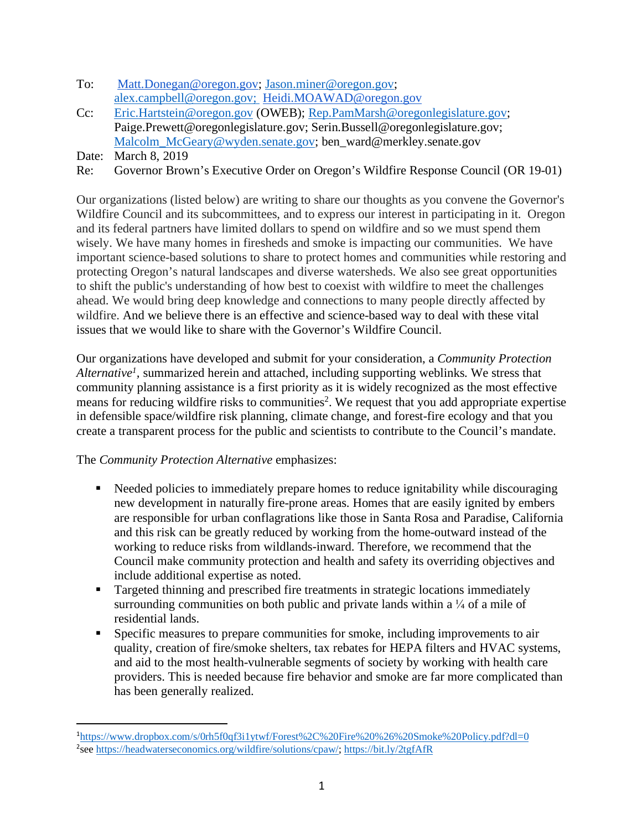- To: Matt.Donegan@oregon.gov; Jason.miner@oregon.gov; alex.campbell@oregon.gov; Heidi.MOAWAD@oregon.gov
- Cc: Eric.Hartstein@oregon.gov (OWEB); Rep.PamMarsh@oregonlegislature.gov; Paige.Prewett@oregonlegislature.gov; Serin.Bussell@oregonlegislature.gov; Malcolm\_McGeary@wyden.senate.gov; ben\_ward@merkley.senate.gov
- Date: March 8, 2019

<u>.</u>

Re: Governor Brown's Executive Order on Oregon's Wildfire Response Council (OR 19-01)

Our organizations (listed below) are writing to share our thoughts as you convene the Governor's Wildfire Council and its subcommittees, and to express our interest in participating in it. Oregon and its federal partners have limited dollars to spend on wildfire and so we must spend them wisely. We have many homes in firesheds and smoke is impacting our communities. We have important science-based solutions to share to protect homes and communities while restoring and protecting Oregon's natural landscapes and diverse watersheds. We also see great opportunities to shift the public's understanding of how best to coexist with wildfire to meet the challenges ahead. We would bring deep knowledge and connections to many people directly affected by wildfire. And we believe there is an effective and science-based way to deal with these vital issues that we would like to share with the Governor's Wildfire Council.

Our organizations have developed and submit for your consideration, a *Community Protection Alternative1,* summarized herein and attached, including supporting weblinks*.* We stress that community planning assistance is a first priority as it is widely recognized as the most effective means for reducing wildfire risks to communities<sup>2</sup>. We request that you add appropriate expertise in defensible space/wildfire risk planning, climate change, and forest-fire ecology and that you create a transparent process for the public and scientists to contribute to the Council's mandate.

The *Community Protection Alternative* emphasizes:

- Needed policies to immediately prepare homes to reduce ignitability while discouraging new development in naturally fire-prone areas. Homes that are easily ignited by embers are responsible for urban conflagrations like those in Santa Rosa and Paradise, California and this risk can be greatly reduced by working from the home-outward instead of the working to reduce risks from wildlands-inward. Therefore, we recommend that the Council make community protection and health and safety its overriding objectives and include additional expertise as noted.
- Targeted thinning and prescribed fire treatments in strategic locations immediately surrounding communities on both public and private lands within a  $\frac{1}{4}$  of a mile of residential lands.
- § Specific measures to prepare communities for smoke, including improvements to air quality, creation of fire/smoke shelters, tax rebates for HEPA filters and HVAC systems, and aid to the most health-vulnerable segments of society by working with health care providers. This is needed because fire behavior and smoke are far more complicated than has been generally realized.

<sup>1</sup> https://www.dropbox.com/s/0rh5f0qf3i1ytwf/Forest%2C%20Fire%20%26%20Smoke%20Policy.pdf?dl=0 <sup>2</sup>see https://headwaterseconomics.org/wildfire/solutions/cpaw/; https://bit.ly/2tgfAfR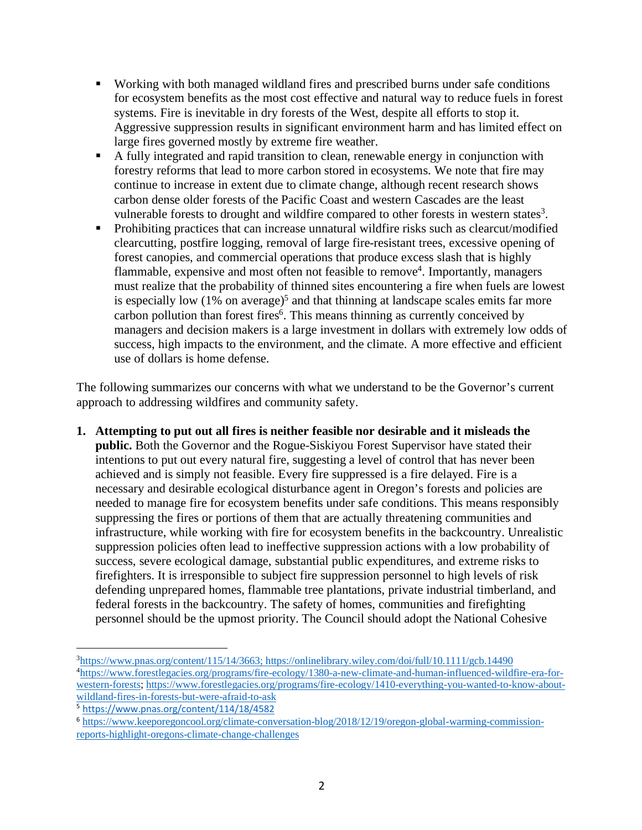- § Working with both managed wildland fires and prescribed burns under safe conditions for ecosystem benefits as the most cost effective and natural way to reduce fuels in forest systems. Fire is inevitable in dry forests of the West, despite all efforts to stop it. Aggressive suppression results in significant environment harm and has limited effect on large fires governed mostly by extreme fire weather.
- § A fully integrated and rapid transition to clean, renewable energy in conjunction with forestry reforms that lead to more carbon stored in ecosystems. We note that fire may continue to increase in extent due to climate change, although recent research shows carbon dense older forests of the Pacific Coast and western Cascades are the least vulnerable forests to drought and wildfire compared to other forests in western states3.
- Prohibiting practices that can increase unnatural wildfire risks such as clearcut/modified clearcutting, postfire logging, removal of large fire-resistant trees, excessive opening of forest canopies, and commercial operations that produce excess slash that is highly flammable, expensive and most often not feasible to remove<sup>4</sup>. Importantly, managers must realize that the probability of thinned sites encountering a fire when fuels are lowest is especially low  $(1\%$  on average)<sup>5</sup> and that thinning at landscape scales emits far more carbon pollution than forest fires<sup>6</sup>. This means thinning as currently conceived by managers and decision makers is a large investment in dollars with extremely low odds of success, high impacts to the environment, and the climate. A more effective and efficient use of dollars is home defense.

The following summarizes our concerns with what we understand to be the Governor's current approach to addressing wildfires and community safety.

**1. Attempting to put out all fires is neither feasible nor desirable and it misleads the public.** Both the Governor and the Rogue-Siskiyou Forest Supervisor have stated their intentions to put out every natural fire, suggesting a level of control that has never been achieved and is simply not feasible. Every fire suppressed is a fire delayed. Fire is a necessary and desirable ecological disturbance agent in Oregon's forests and policies are needed to manage fire for ecosystem benefits under safe conditions. This means responsibly suppressing the fires or portions of them that are actually threatening communities and infrastructure, while working with fire for ecosystem benefits in the backcountry. Unrealistic suppression policies often lead to ineffective suppression actions with a low probability of success, severe ecological damage, substantial public expenditures, and extreme risks to firefighters. It is irresponsible to subject fire suppression personnel to high levels of risk defending unprepared homes, flammable tree plantations, private industrial timberland, and federal forests in the backcountry. The safety of homes, communities and firefighting personnel should be the upmost priority. The Council should adopt the National Cohesive

<u>.</u>

<sup>&</sup>lt;sup>3</sup>https://www.pnas.org/content/115/14/3663; https://onlinelibrary.wiley.com/doi/full/10.1111/gcb.14490 <sup>4</sup>https://www.forestlegacies.org/programs/fire-ecology/1380-a-new-climate-and-human-influenced-wildfire-era-forwestern-forests; https://www.forestlegacies.org/programs/fire-ecology/1410-everything-you-wanted-to-know-aboutwildland-fires-in-forests-but-were-afraid-to-ask

<sup>5</sup> https://www.pnas.org/content/114/18/4582

<sup>6</sup> https://www.keeporegoncool.org/climate-conversation-blog/2018/12/19/oregon-global-warming-commissionreports-highlight-oregons-climate-change-challenges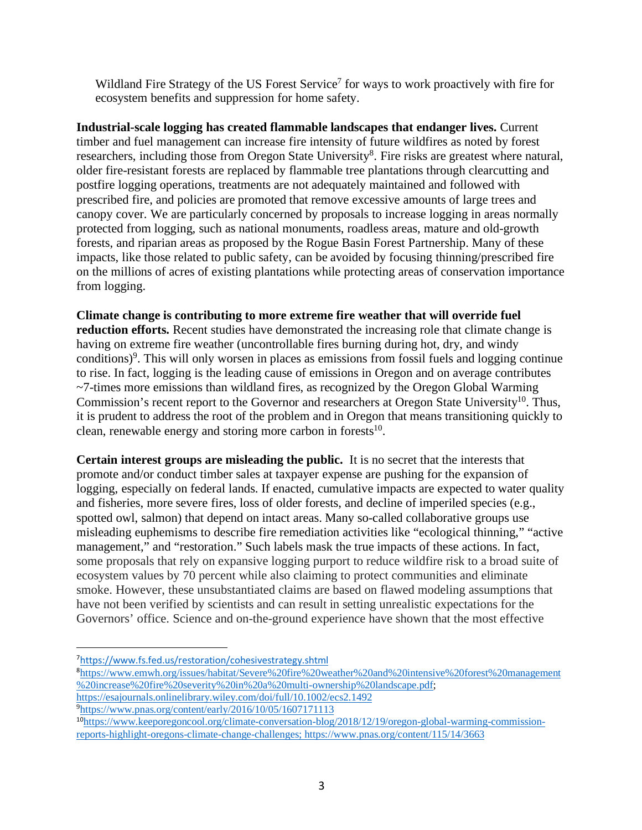Wildland Fire Strategy of the US Forest Service<sup>7</sup> for ways to work proactively with fire for ecosystem benefits and suppression for home safety.

**Industrial-scale logging has created flammable landscapes that endanger lives.** Current timber and fuel management can increase fire intensity of future wildfires as noted by forest researchers, including those from Oregon State University<sup>8</sup>. Fire risks are greatest where natural, older fire-resistant forests are replaced by flammable tree plantations through clearcutting and postfire logging operations, treatments are not adequately maintained and followed with prescribed fire, and policies are promoted that remove excessive amounts of large trees and canopy cover. We are particularly concerned by proposals to increase logging in areas normally protected from logging, such as national monuments, roadless areas, mature and old-growth forests, and riparian areas as proposed by the Rogue Basin Forest Partnership. Many of these impacts, like those related to public safety, can be avoided by focusing thinning/prescribed fire on the millions of acres of existing plantations while protecting areas of conservation importance from logging.

**Climate change is contributing to more extreme fire weather that will override fuel reduction efforts.** Recent studies have demonstrated the increasing role that climate change is having on extreme fire weather (uncontrollable fires burning during hot, dry, and windy conditions)<sup>9</sup>. This will only worsen in places as emissions from fossil fuels and logging continue to rise. In fact, logging is the leading cause of emissions in Oregon and on average contributes  $\sim$ 7-times more emissions than wildland fires, as recognized by the Oregon Global Warming Commission's recent report to the Governor and researchers at Oregon State University<sup>10</sup>. Thus, it is prudent to address the root of the problem and in Oregon that means transitioning quickly to clean, renewable energy and storing more carbon in forests $10$ .

**Certain interest groups are misleading the public.** It is no secret that the interests that promote and/or conduct timber sales at taxpayer expense are pushing for the expansion of logging, especially on federal lands. If enacted, cumulative impacts are expected to water quality and fisheries, more severe fires, loss of older forests, and decline of imperiled species (e.g., spotted owl, salmon) that depend on intact areas. Many so-called collaborative groups use misleading euphemisms to describe fire remediation activities like "ecological thinning," "active management," and "restoration." Such labels mask the true impacts of these actions. In fact, some proposals that rely on expansive logging purport to reduce wildfire risk to a broad suite of ecosystem values by 70 percent while also claiming to protect communities and eliminate smoke. However, these unsubstantiated claims are based on flawed modeling assumptions that have not been verified by scientists and can result in setting unrealistic expectations for the Governors' office. Science and on-the-ground experience have shown that the most effective

https://esajournals.onlinelibrary.wiley.com/doi/full/10.1002/ecs2.1492

 $\overline{a}$ 7https://www.fs.fed.us/restoration/cohesivestrategy.shtml

<sup>8</sup> https://www.emwh.org/issues/habitat/Severe%20fire%20weather%20and%20intensive%20forest%20management %20increase%20fire%20severity%20in%20a%20multi-ownership%20landscape.pdf;

<sup>&</sup>lt;sup>9</sup>https://www.pnas.org/content/early/2016/10/05/1607171113

<sup>&</sup>lt;sup>10</sup>https://www.keeporegoncool.org/climate-conversation-blog/2018/12/19/oregon-global-warming-commissionreports-highlight-oregons-climate-change-challenges; https://www.pnas.org/content/115/14/3663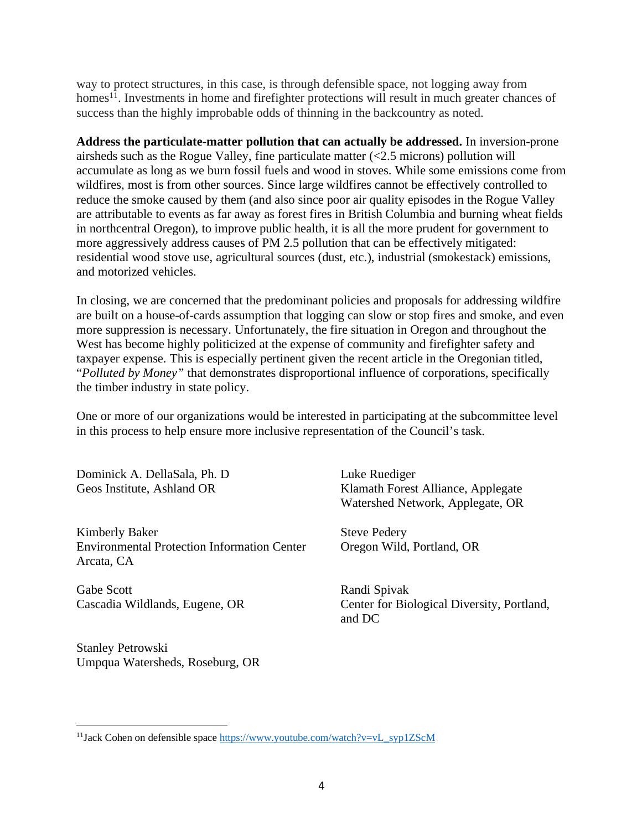way to protect structures, in this case, is through defensible space, not logging away from homes<sup>11</sup>. Investments in home and firefighter protections will result in much greater chances of success than the highly improbable odds of thinning in the backcountry as noted.

**Address the particulate-matter pollution that can actually be addressed.** In inversion-prone airsheds such as the Rogue Valley, fine particulate matter  $\langle$   $\langle$ 2.5 microns) pollution will accumulate as long as we burn fossil fuels and wood in stoves. While some emissions come from wildfires, most is from other sources. Since large wildfires cannot be effectively controlled to reduce the smoke caused by them (and also since poor air quality episodes in the Rogue Valley are attributable to events as far away as forest fires in British Columbia and burning wheat fields in northcentral Oregon), to improve public health, it is all the more prudent for government to more aggressively address causes of PM 2.5 pollution that can be effectively mitigated: residential wood stove use, agricultural sources (dust, etc.), industrial (smokestack) emissions, and motorized vehicles.

In closing, we are concerned that the predominant policies and proposals for addressing wildfire are built on a house-of-cards assumption that logging can slow or stop fires and smoke, and even more suppression is necessary. Unfortunately, the fire situation in Oregon and throughout the West has become highly politicized at the expense of community and firefighter safety and taxpayer expense. This is especially pertinent given the recent article in the Oregonian titled, "*Polluted by Money"* that demonstrates disproportional influence of corporations, specifically the timber industry in state policy.

One or more of our organizations would be interested in participating at the subcommittee level in this process to help ensure more inclusive representation of the Council's task.

Dominick A. DellaSala, Ph. D Luke Ruediger

Kimberly Baker Steve Pedery Environmental Protection Information Center Oregon Wild, Portland, OR Arcata, CA

Gabe Scott Randi Spivak

Stanley Petrowski Umpqua Watersheds, Roseburg, OR

 $\overline{a}$ 

Geos Institute, Ashland OR Klamath Forest Alliance, Applegate Watershed Network, Applegate, OR

Cascadia Wildlands, Eugene, OR Center for Biological Diversity, Portland, and DC

<sup>&</sup>lt;sup>11</sup>Jack Cohen on defensible space https://www.youtube.com/watch?v=vL\_syp1ZScM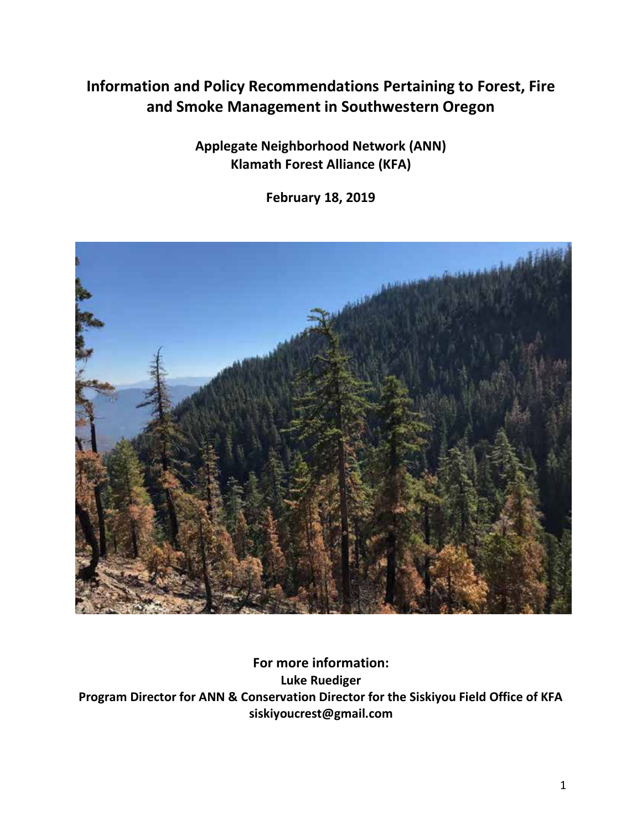# **Information and Policy Recommendations Pertaining to Forest, Fire and Smoke Management in Southwestern Oregon**

**Applegate Neighborhood Network (ANN) Klamath Forest Alliance (KFA)**

**February 18, 2019**



**For more information: Luke Ruediger Program Director for ANN & Conservation Director for the Siskiyou Field Office of KFA siskiyoucrest@gmail.com**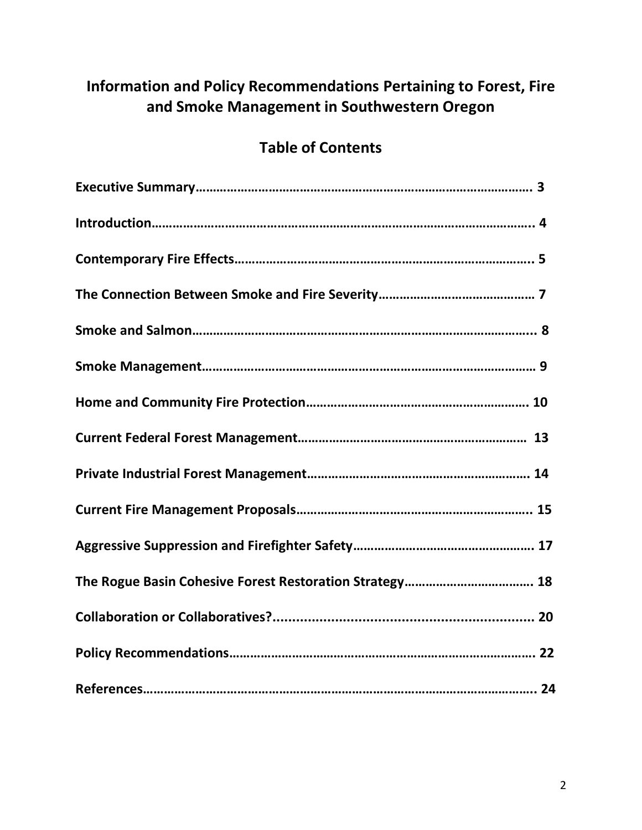# **Information and Policy Recommendations Pertaining to Forest, Fire and Smoke Management in Southwestern Oregon**

# **Table of Contents**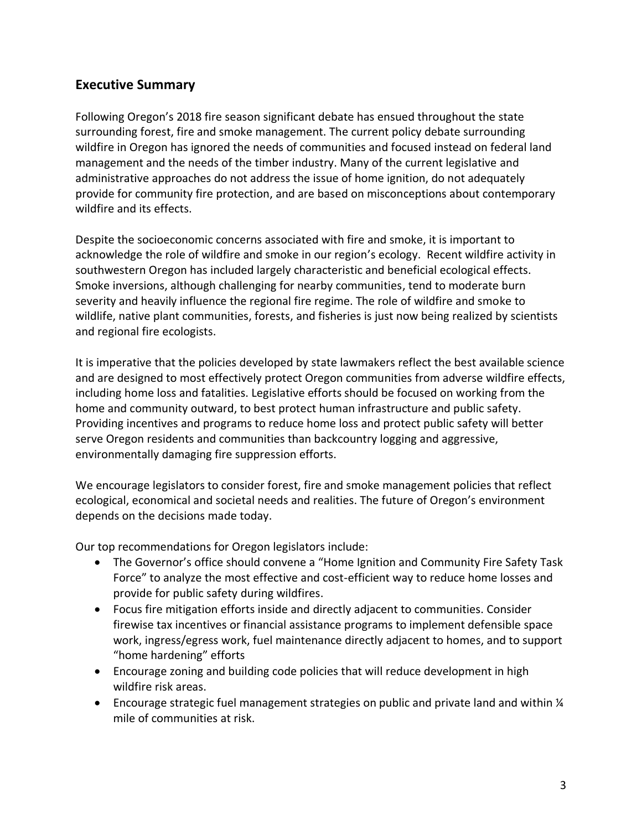### **Executive Summary**

Following Oregon's 2018 fire season significant debate has ensued throughout the state surrounding forest, fire and smoke management. The current policy debate surrounding wildfire in Oregon has ignored the needs of communities and focused instead on federal land management and the needs of the timber industry. Many of the current legislative and administrative approaches do not address the issue of home ignition, do not adequately provide for community fire protection, and are based on misconceptions about contemporary wildfire and its effects.

Despite the socioeconomic concerns associated with fire and smoke, it is important to acknowledge the role of wildfire and smoke in our region's ecology. Recent wildfire activity in southwestern Oregon has included largely characteristic and beneficial ecological effects. Smoke inversions, although challenging for nearby communities, tend to moderate burn severity and heavily influence the regional fire regime. The role of wildfire and smoke to wildlife, native plant communities, forests, and fisheries is just now being realized by scientists and regional fire ecologists.

It is imperative that the policies developed by state lawmakers reflect the best available science and are designed to most effectively protect Oregon communities from adverse wildfire effects, including home loss and fatalities. Legislative efforts should be focused on working from the home and community outward, to best protect human infrastructure and public safety. Providing incentives and programs to reduce home loss and protect public safety will better serve Oregon residents and communities than backcountry logging and aggressive, environmentally damaging fire suppression efforts.

We encourage legislators to consider forest, fire and smoke management policies that reflect ecological, economical and societal needs and realities. The future of Oregon's environment depends on the decisions made today.

Our top recommendations for Oregon legislators include:

- The Governor's office should convene a "Home Ignition and Community Fire Safety Task Force" to analyze the most effective and cost-efficient way to reduce home losses and provide for public safety during wildfires.
- Focus fire mitigation efforts inside and directly adjacent to communities. Consider firewise tax incentives or financial assistance programs to implement defensible space work, ingress/egress work, fuel maintenance directly adjacent to homes, and to support "home hardening" efforts
- Encourage zoning and building code policies that will reduce development in high wildfire risk areas.
- Encourage strategic fuel management strategies on public and private land and within  $\frac{1}{4}$ mile of communities at risk.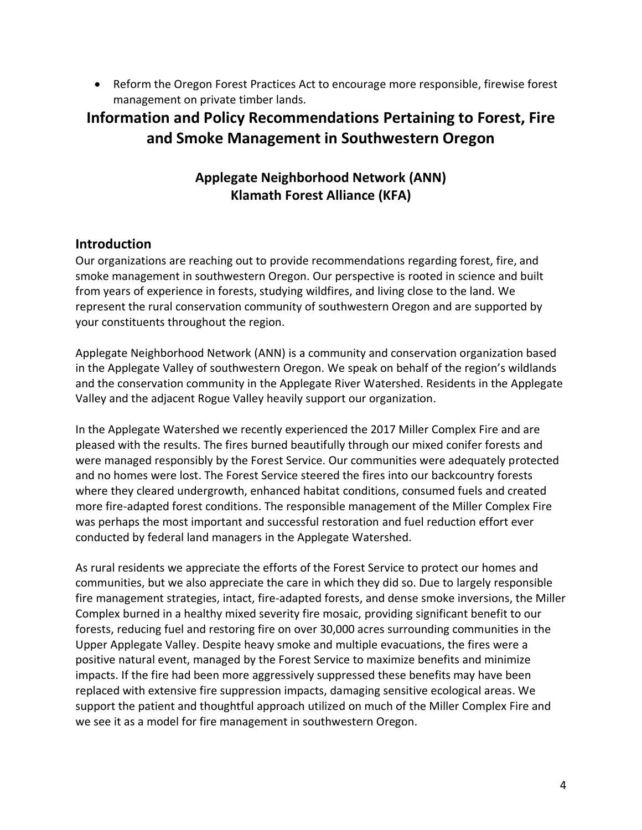• Reform the Oregon Forest Practices Act to encourage more responsible, firewise forest management on private timber lands.

## **Information and Policy Recommendations Pertaining to Forest, Fire and Smoke Management in Southwestern Oregon**

## **Applegate Neighborhood Network (ANN) Klamath Forest Alliance (KFA)**

#### **Introduction**

Our organizations are reaching out to provide recommendations regarding forest, fire, and smoke management in southwestern Oregon. Our perspective is rooted in science and built from years of experience in forests, studying wildfires, and living close to the land. We represent the rural conservation community of southwestern Oregon and are supported by your constituents throughout the region.

Applegate Neighborhood Network (ANN) is a community and conservation organization based in the Applegate Valley of southwestern Oregon. We speak on behalf of the region's wildlands and the conservation community in the Applegate River Watershed. Residents in the Applegate Valley and the adjacent Rogue Valley heavily support our organization.

In the Applegate Watershed we recently experienced the 2017 Miller Complex Fire and are pleased with the results. The fires burned beautifully through our mixed conifer forests and were managed responsibly by the Forest Service. Our communities were adequately protected and no homes were lost. The Forest Service steered the fires into our backcountry forests where they cleared undergrowth, enhanced habitat conditions, consumed fuels and created more fire-adapted forest conditions. The responsible management of the Miller Complex Fire was perhaps the most important and successful restoration and fuel reduction effort ever conducted by federal land managers in the Applegate Watershed.

As rural residents we appreciate the efforts of the Forest Service to protect our homes and communities, but we also appreciate the care in which they did so. Due to largely responsible fire management strategies, intact, fire-adapted forests, and dense smoke inversions, the Miller Complex burned in a healthy mixed severity fire mosaic, providing significant benefit to our forests, reducing fuel and restoring fire on over 30,000 acres surrounding communities in the Upper Applegate Valley. Despite heavy smoke and multiple evacuations, the fires were a positive natural event, managed by the Forest Service to maximize benefits and minimize impacts. If the fire had been more aggressively suppressed these benefits may have been replaced with extensive fire suppression impacts, damaging sensitive ecological areas. We support the patient and thoughtful approach utilized on much of the Miller Complex Fire and we see it as a model for fire management in southwestern Oregon.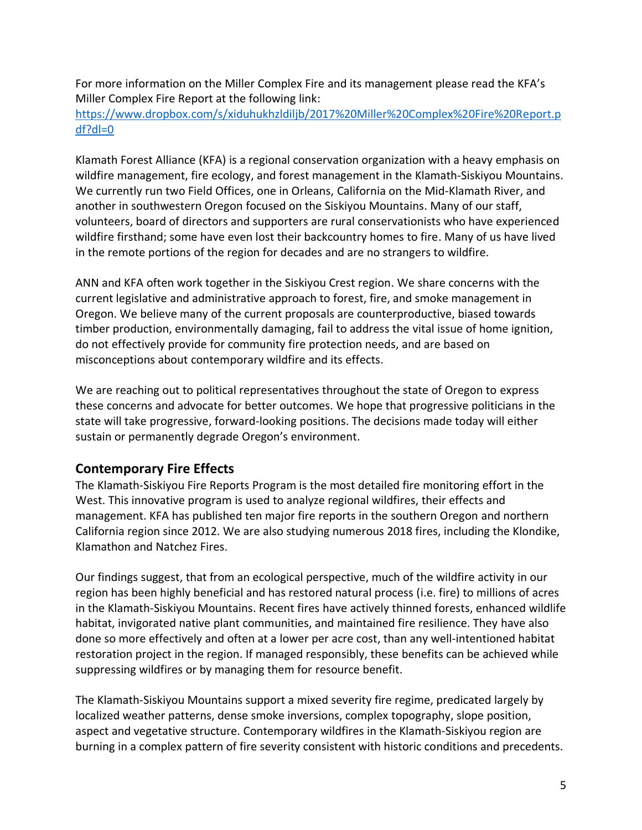For more information on the Miller Complex Fire and its management please read the KFA's Miller Complex Fire Report at the following link:

[https://www.dropbox.com/s/xiduhukhzldiljb/2017%20Miller%20Complex%20Fire%20Report.p](https://www.dropbox.com/s/xiduhukhzldiljb/2017%20Miller%20Complex%20Fire%20Report.pdf?dl=0) [df?dl=0](https://www.dropbox.com/s/xiduhukhzldiljb/2017%20Miller%20Complex%20Fire%20Report.pdf?dl=0)

Klamath Forest Alliance (KFA) is a regional conservation organization with a heavy emphasis on wildfire management, fire ecology, and forest management in the Klamath-Siskiyou Mountains. We currently run two Field Offices, one in Orleans, California on the Mid-Klamath River, and another in southwestern Oregon focused on the Siskiyou Mountains. Many of our staff, volunteers, board of directors and supporters are rural conservationists who have experienced wildfire firsthand; some have even lost their backcountry homes to fire. Many of us have lived in the remote portions of the region for decades and are no strangers to wildfire.

ANN and KFA often work together in the Siskiyou Crest region. We share concerns with the current legislative and administrative approach to forest, fire, and smoke management in Oregon. We believe many of the current proposals are counterproductive, biased towards timber production, environmentally damaging, fail to address the vital issue of home ignition, do not effectively provide for community fire protection needs, and are based on misconceptions about contemporary wildfire and its effects.

We are reaching out to political representatives throughout the state of Oregon to express these concerns and advocate for better outcomes. We hope that progressive politicians in the state will take progressive, forward-looking positions. The decisions made today will either sustain or permanently degrade Oregon's environment.

#### **Contemporary Fire Effects**

The Klamath-Siskiyou Fire Reports Program is the most detailed fire monitoring effort in the West. This innovative program is used to analyze regional wildfires, their effects and management. KFA has published ten major fire reports in the southern Oregon and northern California region since 2012. We are also studying numerous 2018 fires, including the Klondike, Klamathon and Natchez Fires.

Our findings suggest, that from an ecological perspective, much of the wildfire activity in our region has been highly beneficial and has restored natural process (i.e. fire) to millions of acres in the Klamath-Siskiyou Mountains. Recent fires have actively thinned forests, enhanced wildlife habitat, invigorated native plant communities, and maintained fire resilience. They have also done so more effectively and often at a lower per acre cost, than any well-intentioned habitat restoration project in the region. If managed responsibly, these benefits can be achieved while suppressing wildfires or by managing them for resource benefit.

The Klamath-Siskiyou Mountains support a mixed severity fire regime, predicated largely by localized weather patterns, dense smoke inversions, complex topography, slope position, aspect and vegetative structure. Contemporary wildfires in the Klamath-Siskiyou region are burning in a complex pattern of fire severity consistent with historic conditions and precedents.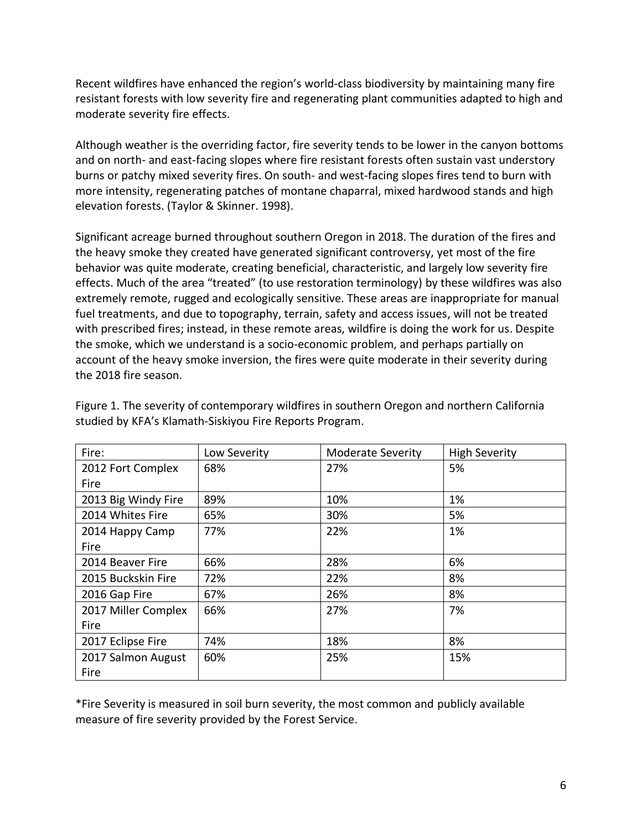Recent wildfires have enhanced the region's world-class biodiversity by maintaining many fire resistant forests with low severity fire and regenerating plant communities adapted to high and moderate severity fire effects.

Although weather is the overriding factor, fire severity tends to be lower in the canyon bottoms and on north- and east-facing slopes where fire resistant forests often sustain vast understory burns or patchy mixed severity fires. On south- and west-facing slopes fires tend to burn with more intensity, regenerating patches of montane chaparral, mixed hardwood stands and high elevation forests. (Taylor & Skinner. 1998).

Significant acreage burned throughout southern Oregon in 2018. The duration of the fires and the heavy smoke they created have generated significant controversy, yet most of the fire behavior was quite moderate, creating beneficial, characteristic, and largely low severity fire effects. Much of the area "treated" (to use restoration terminology) by these wildfires was also extremely remote, rugged and ecologically sensitive. These areas are inappropriate for manual fuel treatments, and due to topography, terrain, safety and access issues, will not be treated with prescribed fires; instead, in these remote areas, wildfire is doing the work for us. Despite the smoke, which we understand is a socio-economic problem, and perhaps partially on account of the heavy smoke inversion, the fires were quite moderate in their severity during the 2018 fire season.

| Fire:               | Low Severity | <b>Moderate Severity</b> | <b>High Severity</b> |
|---------------------|--------------|--------------------------|----------------------|
| 2012 Fort Complex   | 68%          | 27%                      | 5%                   |
| Fire                |              |                          |                      |
| 2013 Big Windy Fire | 89%          | 10%                      | 1%                   |
| 2014 Whites Fire    | 65%          | 30%                      | 5%                   |
| 2014 Happy Camp     | 77%          | 22%                      | 1%                   |
| Fire                |              |                          |                      |
| 2014 Beaver Fire    | 66%          | 28%                      | 6%                   |
| 2015 Buckskin Fire  | 72%          | 22%                      | 8%                   |
| 2016 Gap Fire       | 67%          | 26%                      | 8%                   |
| 2017 Miller Complex | 66%          | 27%                      | 7%                   |
| Fire                |              |                          |                      |
| 2017 Eclipse Fire   | 74%          | 18%                      | 8%                   |
| 2017 Salmon August  | 60%          | 25%                      | 15%                  |
| Fire                |              |                          |                      |

Figure 1. The severity of contemporary wildfires in southern Oregon and northern California studied by KFA's Klamath-Siskiyou Fire Reports Program.

\*Fire Severity is measured in soil burn severity, the most common and publicly available measure of fire severity provided by the Forest Service.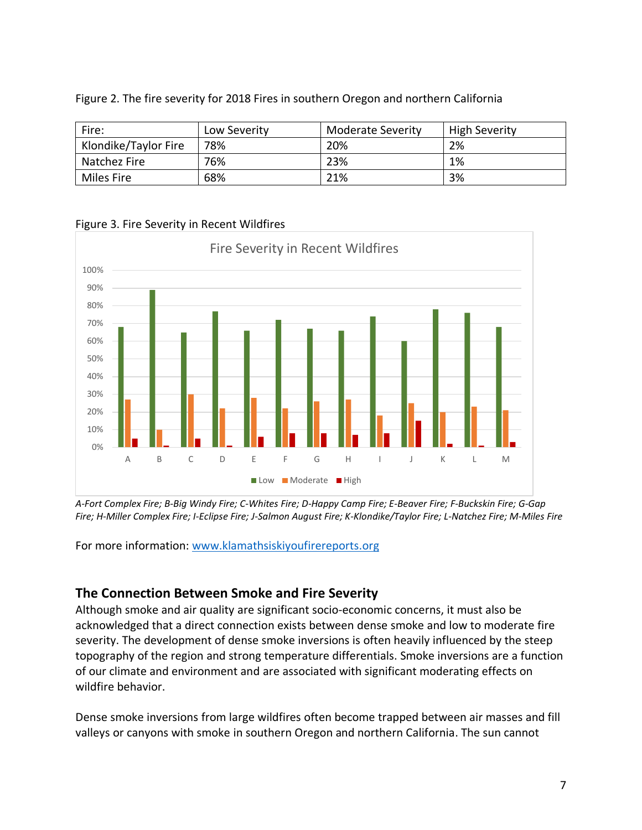| Fire:                | Low Severity | Moderate Severity | <b>High Severity</b> |
|----------------------|--------------|-------------------|----------------------|
| Klondike/Taylor Fire | 78%          | 20%               | 2%                   |
| Natchez Fire         | 76%          | 23%               | 1%                   |
| Miles Fire           | 68%          | 21%               | 3%                   |

Figure 2. The fire severity for 2018 Fires in southern Oregon and northern California

Figure 3. Fire Severity in Recent Wildfires



*A-Fort Complex Fire; B-Big Windy Fire; C-Whites Fire; D-Happy Camp Fire; E-Beaver Fire; F-Buckskin Fire; G-Gap Fire; H-Miller Complex Fire; I-Eclipse Fire; J-Salmon August Fire; K-Klondike/Taylor Fire; L-Natchez Fire; M-Miles Fire*

For more information: [www.klamathsiskiyoufirereports.org](http://www.klamathsiskiyoufirereports.org/)

## **The Connection Between Smoke and Fire Severity**

Although smoke and air quality are significant socio-economic concerns, it must also be acknowledged that a direct connection exists between dense smoke and low to moderate fire severity. The development of dense smoke inversions is often heavily influenced by the steep topography of the region and strong temperature differentials. Smoke inversions are a function of our climate and environment and are associated with significant moderating effects on wildfire behavior.

Dense smoke inversions from large wildfires often become trapped between air masses and fill valleys or canyons with smoke in southern Oregon and northern California. The sun cannot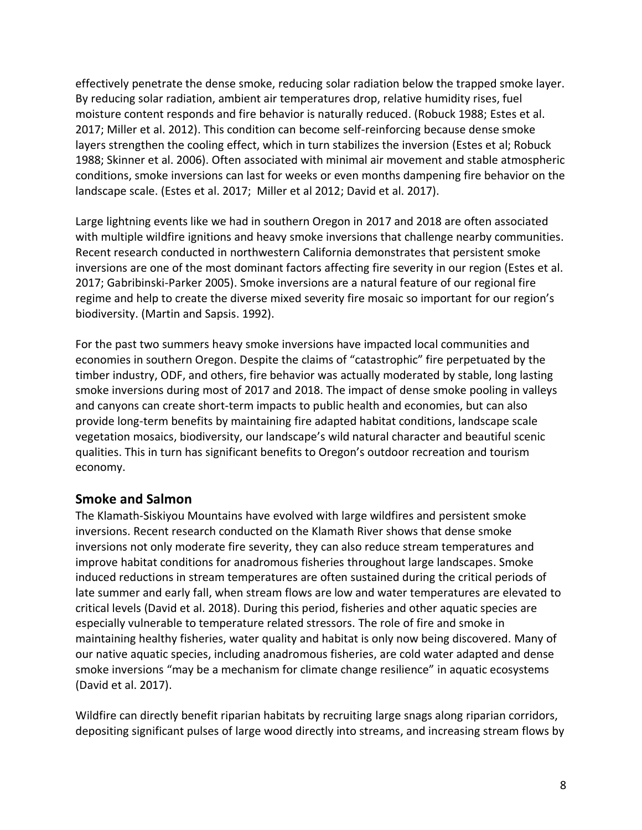effectively penetrate the dense smoke, reducing solar radiation below the trapped smoke layer. By reducing solar radiation, ambient air temperatures drop, relative humidity rises, fuel moisture content responds and fire behavior is naturally reduced. (Robuck 1988; Estes et al. 2017; Miller et al. 2012). This condition can become self-reinforcing because dense smoke layers strengthen the cooling effect, which in turn stabilizes the inversion (Estes et al; Robuck 1988; Skinner et al. 2006). Often associated with minimal air movement and stable atmospheric conditions, smoke inversions can last for weeks or even months dampening fire behavior on the landscape scale. (Estes et al. 2017; Miller et al 2012; David et al. 2017).

Large lightning events like we had in southern Oregon in 2017 and 2018 are often associated with multiple wildfire ignitions and heavy smoke inversions that challenge nearby communities. Recent research conducted in northwestern California demonstrates that persistent smoke inversions are one of the most dominant factors affecting fire severity in our region (Estes et al. 2017; Gabribinski-Parker 2005). Smoke inversions are a natural feature of our regional fire regime and help to create the diverse mixed severity fire mosaic so important for our region's biodiversity. (Martin and Sapsis. 1992).

For the past two summers heavy smoke inversions have impacted local communities and economies in southern Oregon. Despite the claims of "catastrophic" fire perpetuated by the timber industry, ODF, and others, fire behavior was actually moderated by stable, long lasting smoke inversions during most of 2017 and 2018. The impact of dense smoke pooling in valleys and canyons can create short-term impacts to public health and economies, but can also provide long-term benefits by maintaining fire adapted habitat conditions, landscape scale vegetation mosaics, biodiversity, our landscape's wild natural character and beautiful scenic qualities. This in turn has significant benefits to Oregon's outdoor recreation and tourism economy.

#### **Smoke and Salmon**

The Klamath-Siskiyou Mountains have evolved with large wildfires and persistent smoke inversions. Recent research conducted on the Klamath River shows that dense smoke inversions not only moderate fire severity, they can also reduce stream temperatures and improve habitat conditions for anadromous fisheries throughout large landscapes. Smoke induced reductions in stream temperatures are often sustained during the critical periods of late summer and early fall, when stream flows are low and water temperatures are elevated to critical levels (David et al. 2018). During this period, fisheries and other aquatic species are especially vulnerable to temperature related stressors. The role of fire and smoke in maintaining healthy fisheries, water quality and habitat is only now being discovered. Many of our native aquatic species, including anadromous fisheries, are cold water adapted and dense smoke inversions "may be a mechanism for climate change resilience" in aquatic ecosystems (David et al. 2017).

Wildfire can directly benefit riparian habitats by recruiting large snags along riparian corridors, depositing significant pulses of large wood directly into streams, and increasing stream flows by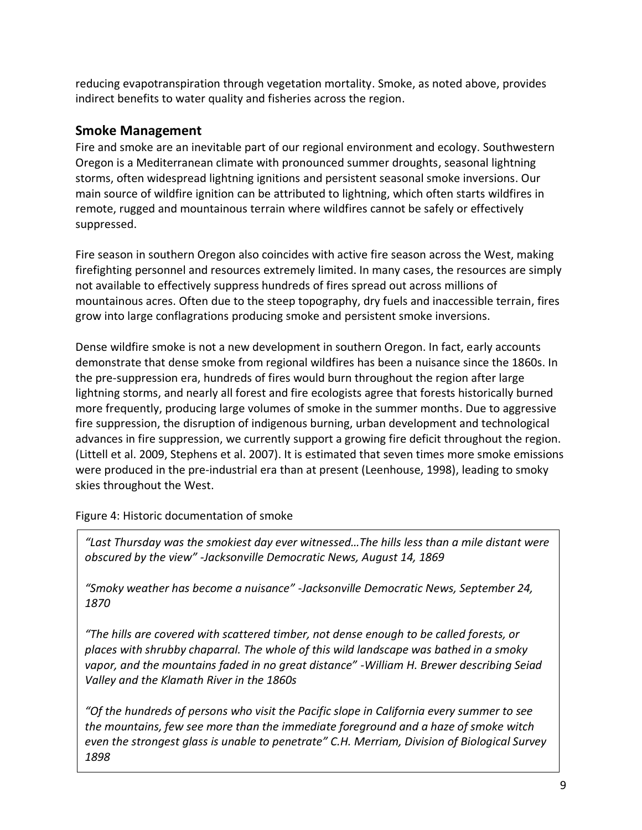reducing evapotranspiration through vegetation mortality. Smoke, as noted above, provides indirect benefits to water quality and fisheries across the region.

#### **Smoke Management**

Fire and smoke are an inevitable part of our regional environment and ecology. Southwestern Oregon is a Mediterranean climate with pronounced summer droughts, seasonal lightning storms, often widespread lightning ignitions and persistent seasonal smoke inversions. Our main source of wildfire ignition can be attributed to lightning, which often starts wildfires in remote, rugged and mountainous terrain where wildfires cannot be safely or effectively suppressed.

Fire season in southern Oregon also coincides with active fire season across the West, making firefighting personnel and resources extremely limited. In many cases, the resources are simply not available to effectively suppress hundreds of fires spread out across millions of mountainous acres. Often due to the steep topography, dry fuels and inaccessible terrain, fires grow into large conflagrations producing smoke and persistent smoke inversions.

Dense wildfire smoke is not a new development in southern Oregon. In fact, early accounts demonstrate that dense smoke from regional wildfires has been a nuisance since the 1860s. In the pre-suppression era, hundreds of fires would burn throughout the region after large lightning storms, and nearly all forest and fire ecologists agree that forests historically burned more frequently, producing large volumes of smoke in the summer months. Due to aggressive fire suppression, the disruption of indigenous burning, urban development and technological advances in fire suppression, we currently support a growing fire deficit throughout the region. (Littell et al. 2009, Stephens et al. 2007). It is estimated that seven times more smoke emissions were produced in the pre-industrial era than at present (Leenhouse, 1998), leading to smoky skies throughout the West.

Figure 4: Historic documentation of smoke

*"Last Thursday was the smokiest day ever witnessed…The hills less than a mile distant were obscured by the view" -Jacksonville Democratic News, August 14, 1869*

*"Smoky weather has become a nuisance" -Jacksonville Democratic News, September 24, 1870* 

*"The hills are covered with scattered timber, not dense enough to be called forests, or places with shrubby chaparral. The whole of this wild landscape was bathed in a smoky vapor, and the mountains faded in no great distance" -William H. Brewer describing Seiad Valley and the Klamath River in the 1860s*

*"Of the hundreds of persons who visit the Pacific slope in California every summer to see the mountains, few see more than the immediate foreground and a haze of smoke witch even the strongest glass is unable to penetrate" C.H. Merriam, Division of Biological Survey 1898*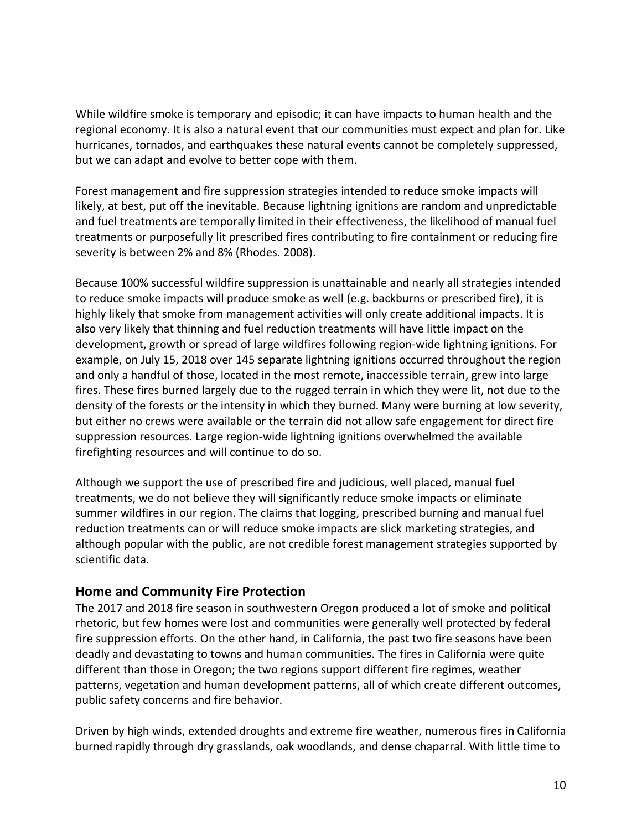While wildfire smoke is temporary and episodic; it can have impacts to human health and the regional economy. It is also a natural event that our communities must expect and plan for. Like hurricanes, tornados, and earthquakes these natural events cannot be completely suppressed, but we can adapt and evolve to better cope with them.

Forest management and fire suppression strategies intended to reduce smoke impacts will likely, at best, put off the inevitable. Because lightning ignitions are random and unpredictable and fuel treatments are temporally limited in their effectiveness, the likelihood of manual fuel treatments or purposefully lit prescribed fires contributing to fire containment or reducing fire severity is between 2% and 8% (Rhodes. 2008).

Because 100% successful wildfire suppression is unattainable and nearly all strategies intended to reduce smoke impacts will produce smoke as well (e.g. backburns or prescribed fire), it is highly likely that smoke from management activities will only create additional impacts. It is also very likely that thinning and fuel reduction treatments will have little impact on the development, growth or spread of large wildfires following region-wide lightning ignitions. For example, on July 15, 2018 over 145 separate lightning ignitions occurred throughout the region and only a handful of those, located in the most remote, inaccessible terrain, grew into large fires. These fires burned largely due to the rugged terrain in which they were lit, not due to the density of the forests or the intensity in which they burned. Many were burning at low severity, but either no crews were available or the terrain did not allow safe engagement for direct fire suppression resources. Large region-wide lightning ignitions overwhelmed the available firefighting resources and will continue to do so.

Although we support the use of prescribed fire and judicious, well placed, manual fuel treatments, we do not believe they will significantly reduce smoke impacts or eliminate summer wildfires in our region. The claims that logging, prescribed burning and manual fuel reduction treatments can or will reduce smoke impacts are slick marketing strategies, and although popular with the public, are not credible forest management strategies supported by scientific data.

#### **Home and Community Fire Protection**

The 2017 and 2018 fire season in southwestern Oregon produced a lot of smoke and political rhetoric, but few homes were lost and communities were generally well protected by federal fire suppression efforts. On the other hand, in California, the past two fire seasons have been deadly and devastating to towns and human communities. The fires in California were quite different than those in Oregon; the two regions support different fire regimes, weather patterns, vegetation and human development patterns, all of which create different outcomes, public safety concerns and fire behavior.

Driven by high winds, extended droughts and extreme fire weather, numerous fires in California burned rapidly through dry grasslands, oak woodlands, and dense chaparral. With little time to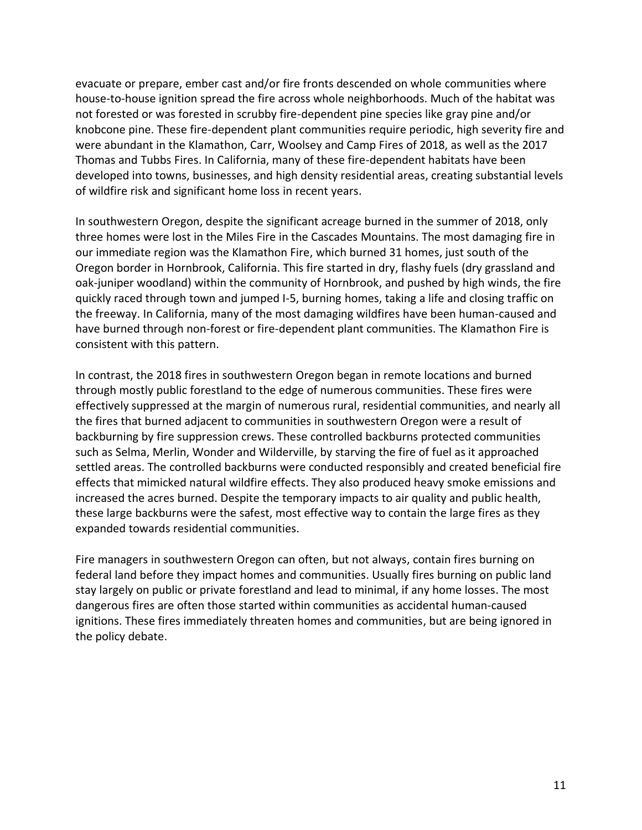evacuate or prepare, ember cast and/or fire fronts descended on whole communities where house-to-house ignition spread the fire across whole neighborhoods. Much of the habitat was not forested or was forested in scrubby fire-dependent pine species like gray pine and/or knobcone pine. These fire-dependent plant communities require periodic, high severity fire and were abundant in the Klamathon, Carr, Woolsey and Camp Fires of 2018, as well as the 2017 Thomas and Tubbs Fires. In California, many of these fire-dependent habitats have been developed into towns, businesses, and high density residential areas, creating substantial levels of wildfire risk and significant home loss in recent years.

In southwestern Oregon, despite the significant acreage burned in the summer of 2018, only three homes were lost in the Miles Fire in the Cascades Mountains. The most damaging fire in our immediate region was the Klamathon Fire, which burned 31 homes, just south of the Oregon border in Hornbrook, California. This fire started in dry, flashy fuels (dry grassland and oak-juniper woodland) within the community of Hornbrook, and pushed by high winds, the fire quickly raced through town and jumped I-5, burning homes, taking a life and closing traffic on the freeway. In California, many of the most damaging wildfires have been human-caused and have burned through non-forest or fire-dependent plant communities. The Klamathon Fire is consistent with this pattern.

In contrast, the 2018 fires in southwestern Oregon began in remote locations and burned through mostly public forestland to the edge of numerous communities. These fires were effectively suppressed at the margin of numerous rural, residential communities, and nearly all the fires that burned adjacent to communities in southwestern Oregon were a result of backburning by fire suppression crews. These controlled backburns protected communities such as Selma, Merlin, Wonder and Wilderville, by starving the fire of fuel as it approached settled areas. The controlled backburns were conducted responsibly and created beneficial fire effects that mimicked natural wildfire effects. They also produced heavy smoke emissions and increased the acres burned. Despite the temporary impacts to air quality and public health, these large backburns were the safest, most effective way to contain the large fires as they expanded towards residential communities.

Fire managers in southwestern Oregon can often, but not always, contain fires burning on federal land before they impact homes and communities. Usually fires burning on public land stay largely on public or private forestland and lead to minimal, if any home losses. The most dangerous fires are often those started within communities as accidental human-caused ignitions. These fires immediately threaten homes and communities, but are being ignored in the policy debate.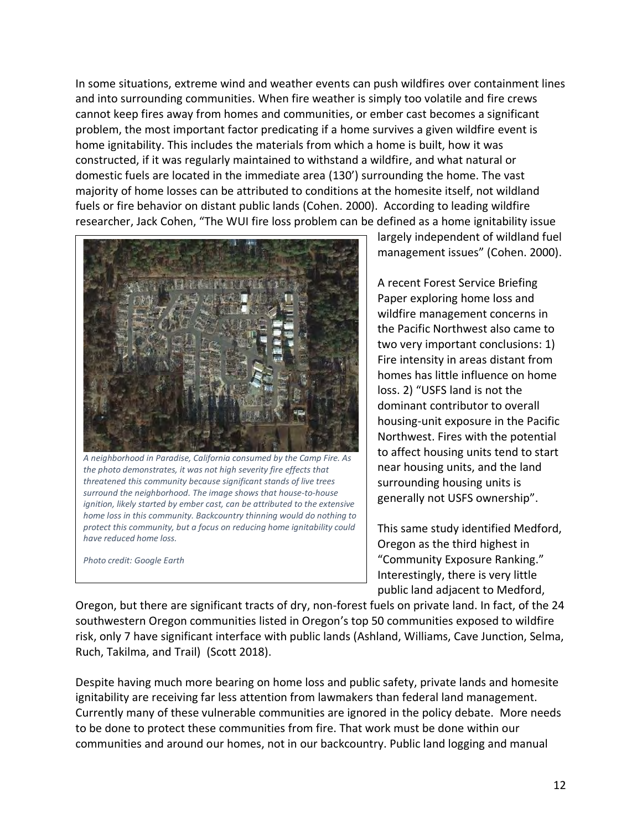In some situations, extreme wind and weather events can push wildfires over containment lines and into surrounding communities. When fire weather is simply too volatile and fire crews cannot keep fires away from homes and communities, or ember cast becomes a significant problem, the most important factor predicating if a home survives a given wildfire event is home ignitability. This includes the materials from which a home is built, how it was constructed, if it was regularly maintained to withstand a wildfire, and what natural or domestic fuels are located in the immediate area (130') surrounding the home. The vast majority of home losses can be attributed to conditions at the homesite itself, not wildland fuels or fire behavior on distant public lands (Cohen. 2000). According to leading wildfire researcher, Jack Cohen, "The WUI fire loss problem can be defined as a home ignitability issue



*A neighborhood in Paradise, California consumed by the Camp Fire. As the photo demonstrates, it was not high severity fire effects that threatened this community because significant stands of live trees surround the neighborhood. The image shows that house-to-house ignition, likely started by ember cast, can be attributed to the extensive home loss in this community. Backcountry thinning would do nothing to protect this community, but a focus on reducing home ignitability could have reduced home loss.* 

*Photo credit: Google Earth*

largely independent of wildland fuel management issues" (Cohen. 2000).

A recent Forest Service Briefing Paper exploring home loss and wildfire management concerns in the Pacific Northwest also came to two very important conclusions: 1) Fire intensity in areas distant from homes has little influence on home loss. 2) "USFS land is not the dominant contributor to overall housing-unit exposure in the Pacific Northwest. Fires with the potential to affect housing units tend to start near housing units, and the land surrounding housing units is generally not USFS ownership".

This same study identified Medford, Oregon as the third highest in "Community Exposure Ranking." Interestingly, there is very little public land adjacent to Medford,

Oregon, but there are significant tracts of dry, non-forest fuels on private land. In fact, of the 24 southwestern Oregon communities listed in Oregon's top 50 communities exposed to wildfire risk, only 7 have significant interface with public lands (Ashland, Williams, Cave Junction, Selma, Ruch, Takilma, and Trail) (Scott 2018).

Despite having much more bearing on home loss and public safety, private lands and homesite ignitability are receiving far less attention from lawmakers than federal land management. Currently many of these vulnerable communities are ignored in the policy debate. More needs to be done to protect these communities from fire. That work must be done within our communities and around our homes, not in our backcountry. Public land logging and manual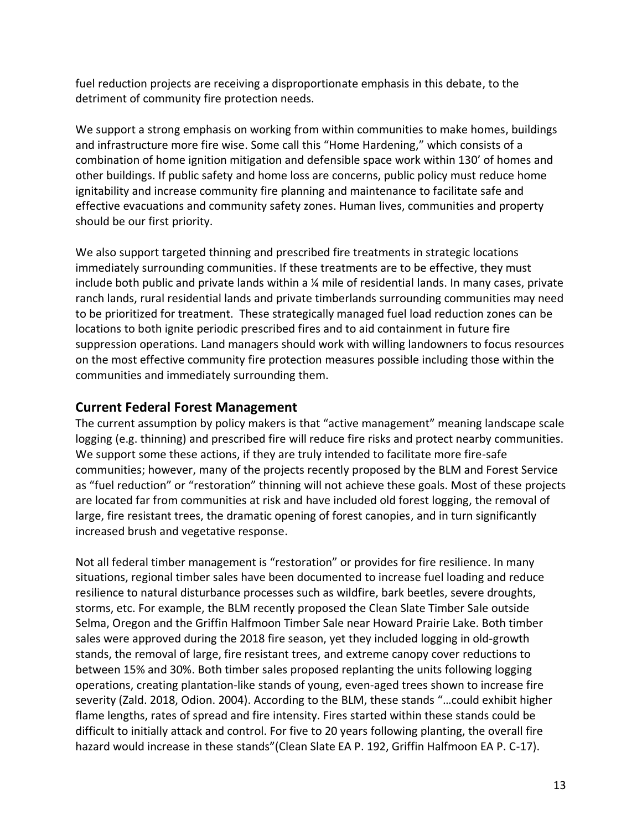fuel reduction projects are receiving a disproportionate emphasis in this debate, to the detriment of community fire protection needs.

We support a strong emphasis on working from within communities to make homes, buildings and infrastructure more fire wise. Some call this "Home Hardening," which consists of a combination of home ignition mitigation and defensible space work within 130' of homes and other buildings. If public safety and home loss are concerns, public policy must reduce home ignitability and increase community fire planning and maintenance to facilitate safe and effective evacuations and community safety zones. Human lives, communities and property should be our first priority.

We also support targeted thinning and prescribed fire treatments in strategic locations immediately surrounding communities. If these treatments are to be effective, they must include both public and private lands within a ¼ mile of residential lands. In many cases, private ranch lands, rural residential lands and private timberlands surrounding communities may need to be prioritized for treatment. These strategically managed fuel load reduction zones can be locations to both ignite periodic prescribed fires and to aid containment in future fire suppression operations. Land managers should work with willing landowners to focus resources on the most effective community fire protection measures possible including those within the communities and immediately surrounding them.

#### **Current Federal Forest Management**

The current assumption by policy makers is that "active management" meaning landscape scale logging (e.g. thinning) and prescribed fire will reduce fire risks and protect nearby communities. We support some these actions, if they are truly intended to facilitate more fire-safe communities; however, many of the projects recently proposed by the BLM and Forest Service as "fuel reduction" or "restoration" thinning will not achieve these goals. Most of these projects are located far from communities at risk and have included old forest logging, the removal of large, fire resistant trees, the dramatic opening of forest canopies, and in turn significantly increased brush and vegetative response.

Not all federal timber management is "restoration" or provides for fire resilience. In many situations, regional timber sales have been documented to increase fuel loading and reduce resilience to natural disturbance processes such as wildfire, bark beetles, severe droughts, storms, etc. For example, the BLM recently proposed the Clean Slate Timber Sale outside Selma, Oregon and the Griffin Halfmoon Timber Sale near Howard Prairie Lake. Both timber sales were approved during the 2018 fire season, yet they included logging in old-growth stands, the removal of large, fire resistant trees, and extreme canopy cover reductions to between 15% and 30%. Both timber sales proposed replanting the units following logging operations, creating plantation-like stands of young, even-aged trees shown to increase fire severity (Zald. 2018, Odion. 2004). According to the BLM, these stands "…could exhibit higher flame lengths, rates of spread and fire intensity. Fires started within these stands could be difficult to initially attack and control. For five to 20 years following planting, the overall fire hazard would increase in these stands"(Clean Slate EA P. 192, Griffin Halfmoon EA P. C-17).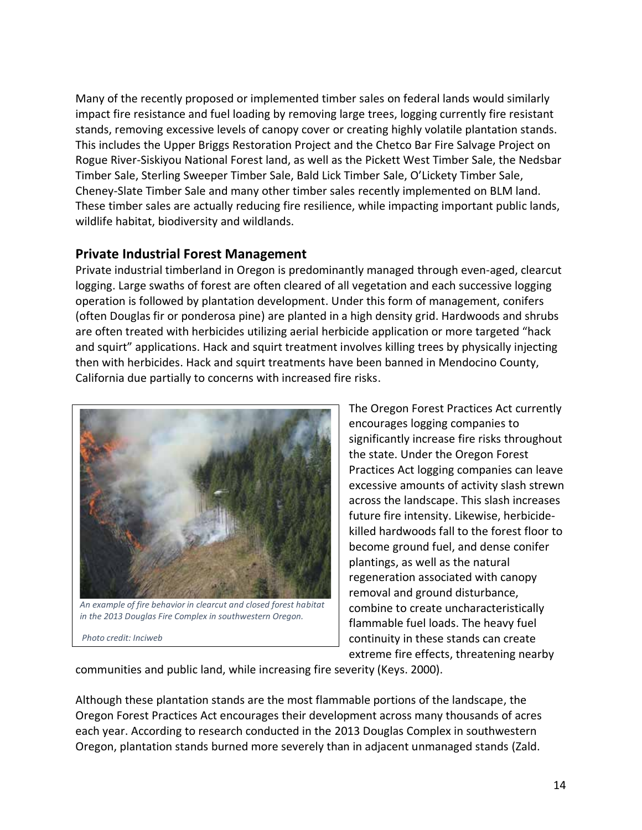Many of the recently proposed or implemented timber sales on federal lands would similarly impact fire resistance and fuel loading by removing large trees, logging currently fire resistant stands, removing excessive levels of canopy cover or creating highly volatile plantation stands. This includes the Upper Briggs Restoration Project and the Chetco Bar Fire Salvage Project on Rogue River-Siskiyou National Forest land, as well as the Pickett West Timber Sale, the Nedsbar Timber Sale, Sterling Sweeper Timber Sale, Bald Lick Timber Sale, O'Lickety Timber Sale, Cheney-Slate Timber Sale and many other timber sales recently implemented on BLM land. These timber sales are actually reducing fire resilience, while impacting important public lands, wildlife habitat, biodiversity and wildlands.

#### **Private Industrial Forest Management**

Private industrial timberland in Oregon is predominantly managed through even-aged, clearcut logging. Large swaths of forest are often cleared of all vegetation and each successive logging operation is followed by plantation development. Under this form of management, conifers (often Douglas fir or ponderosa pine) are planted in a high density grid. Hardwoods and shrubs are often treated with herbicides utilizing aerial herbicide application or more targeted "hack and squirt" applications. Hack and squirt treatment involves killing trees by physically injecting then with herbicides. Hack and squirt treatments have been banned in Mendocino County, California due partially to concerns with increased fire risks.



*An example of fire behavior in clearcut and closed forest habitat in the 2013 Douglas Fire Complex in southwestern Oregon.*

*Photo credit: Inciweb*

The Oregon Forest Practices Act currently encourages logging companies to significantly increase fire risks throughout the state. Under the Oregon Forest Practices Act logging companies can leave excessive amounts of activity slash strewn across the landscape. This slash increases future fire intensity. Likewise, herbicidekilled hardwoods fall to the forest floor to become ground fuel, and dense conifer plantings, as well as the natural regeneration associated with canopy removal and ground disturbance, combine to create uncharacteristically flammable fuel loads. The heavy fuel continuity in these stands can create extreme fire effects, threatening nearby

communities and public land, while increasing fire severity (Keys. 2000).

Although these plantation stands are the most flammable portions of the landscape, the Oregon Forest Practices Act encourages their development across many thousands of acres each year. According to research conducted in the 2013 Douglas Complex in southwestern Oregon, plantation stands burned more severely than in adjacent unmanaged stands (Zald.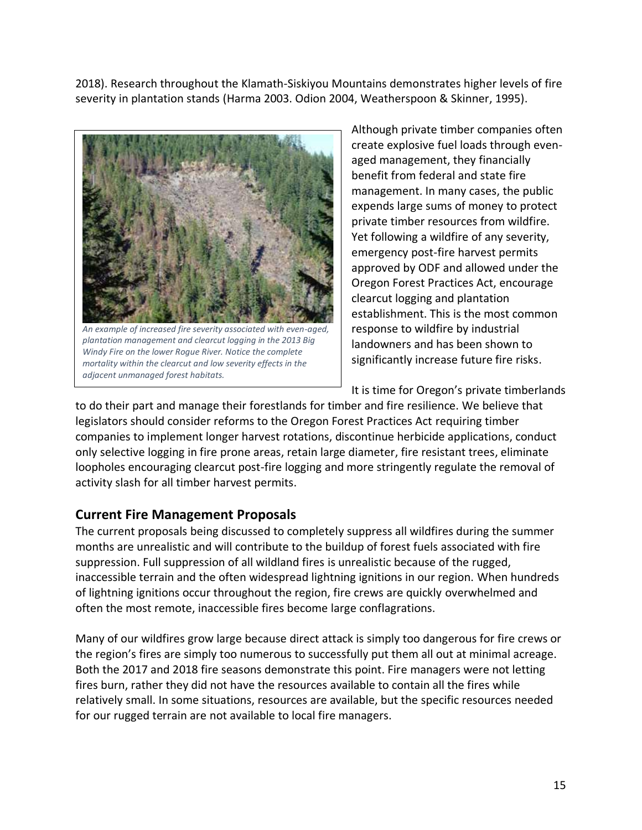2018). Research throughout the Klamath-Siskiyou Mountains demonstrates higher levels of fire severity in plantation stands (Harma 2003. Odion 2004, Weatherspoon & Skinner, 1995).



*An example of increased fire severity associated with even-aged, plantation management and clearcut logging in the 2013 Big Windy Fire on the lower Rogue River. Notice the complete mortality within the clearcut and low severity effects in the adjacent unmanaged forest habitats.*

Although private timber companies often create explosive fuel loads through evenaged management, they financially benefit from federal and state fire management. In many cases, the public expends large sums of money to protect private timber resources from wildfire. Yet following a wildfire of any severity, emergency post-fire harvest permits approved by ODF and allowed under the Oregon Forest Practices Act, encourage clearcut logging and plantation establishment. This is the most common response to wildfire by industrial landowners and has been shown to significantly increase future fire risks.

It is time for Oregon's private timberlands

to do their part and manage their forestlands for timber and fire resilience. We believe that legislators should consider reforms to the Oregon Forest Practices Act requiring timber companies to implement longer harvest rotations, discontinue herbicide applications, conduct only selective logging in fire prone areas, retain large diameter, fire resistant trees, eliminate loopholes encouraging clearcut post-fire logging and more stringently regulate the removal of activity slash for all timber harvest permits.

#### **Current Fire Management Proposals**

The current proposals being discussed to completely suppress all wildfires during the summer months are unrealistic and will contribute to the buildup of forest fuels associated with fire suppression. Full suppression of all wildland fires is unrealistic because of the rugged, inaccessible terrain and the often widespread lightning ignitions in our region. When hundreds of lightning ignitions occur throughout the region, fire crews are quickly overwhelmed and often the most remote, inaccessible fires become large conflagrations.

Many of our wildfires grow large because direct attack is simply too dangerous for fire crews or the region's fires are simply too numerous to successfully put them all out at minimal acreage. Both the 2017 and 2018 fire seasons demonstrate this point. Fire managers were not letting fires burn, rather they did not have the resources available to contain all the fires while relatively small. In some situations, resources are available, but the specific resources needed for our rugged terrain are not available to local fire managers.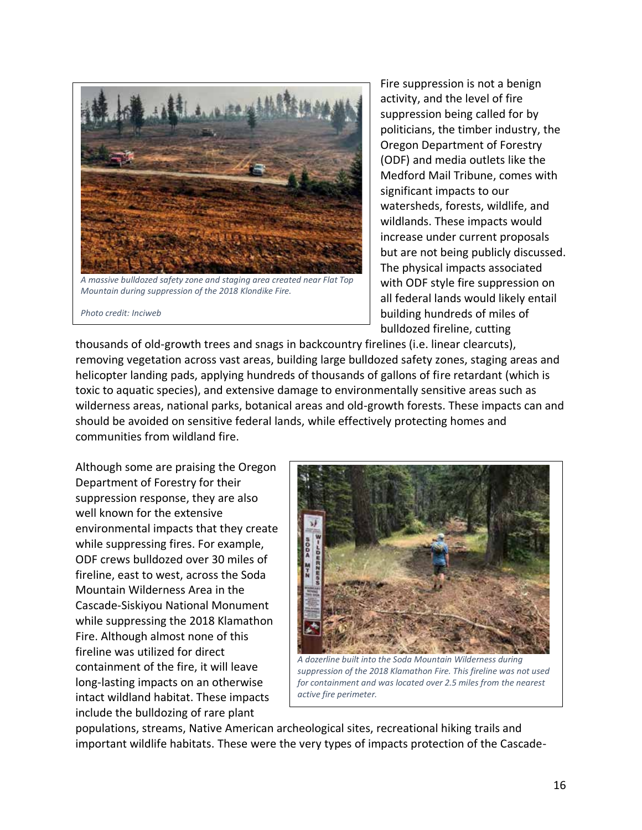

*Mountain during suppression of the 2018 Klondike Fire.* 

*Photo credit: Inciweb*

Fire suppression is not a benign activity, and the level of fire suppression being called for by politicians, the timber industry, the Oregon Department of Forestry (ODF) and media outlets like the Medford Mail Tribune, comes with significant impacts to our watersheds, forests, wildlife, and wildlands. These impacts would increase under current proposals but are not being publicly discussed. The physical impacts associated with ODF style fire suppression on all federal lands would likely entail building hundreds of miles of bulldozed fireline, cutting

thousands of old-growth trees and snags in backcountry firelines (i.e. linear clearcuts), removing vegetation across vast areas, building large bulldozed safety zones, staging areas and helicopter landing pads, applying hundreds of thousands of gallons of fire retardant (which is toxic to aquatic species), and extensive damage to environmentally sensitive areas such as wilderness areas, national parks, botanical areas and old-growth forests. These impacts can and should be avoided on sensitive federal lands, while effectively protecting homes and communities from wildland fire.

Although some are praising the Oregon Department of Forestry for their suppression response, they are also well known for the extensive environmental impacts that they create while suppressing fires. For example, ODF crews bulldozed over 30 miles of fireline, east to west, across the Soda Mountain Wilderness Area in the Cascade-Siskiyou National Monument while suppressing the 2018 Klamathon Fire. Although almost none of this fireline was utilized for direct containment of the fire, it will leave long-lasting impacts on an otherwise intact wildland habitat. These impacts include the bulldozing of rare plant



*A dozerline built into the Soda Mountain Wilderness during suppression of the 2018 Klamathon Fire. This fireline was not used for containment and was located over 2.5 miles from the nearest active fire perimeter.* 

populations, streams, Native American archeological sites, recreational hiking trails and important wildlife habitats. These were the very types of impacts protection of the Cascade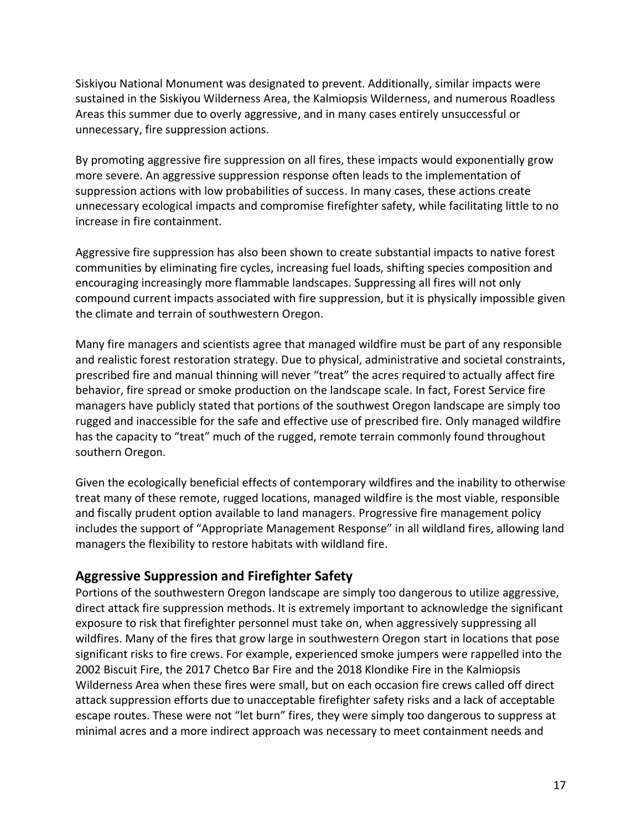Siskiyou National Monument was designated to prevent. Additionally, similar impacts were sustained in the Siskiyou Wilderness Area, the Kalmiopsis Wilderness, and numerous Roadless Areas this summer due to overly aggressive, and in many cases entirely unsuccessful or unnecessary, fire suppression actions.

By promoting aggressive fire suppression on all fires, these impacts would exponentially grow more severe. An aggressive suppression response often leads to the implementation of suppression actions with low probabilities of success. In many cases, these actions create unnecessary ecological impacts and compromise firefighter safety, while facilitating little to no increase in fire containment.

Aggressive fire suppression has also been shown to create substantial impacts to native forest communities by eliminating fire cycles, increasing fuel loads, shifting species composition and encouraging increasingly more flammable landscapes. Suppressing all fires will not only compound current impacts associated with fire suppression, but it is physically impossible given the climate and terrain of southwestern Oregon.

Many fire managers and scientists agree that managed wildfire must be part of any responsible and realistic forest restoration strategy. Due to physical, administrative and societal constraints, prescribed fire and manual thinning will never "treat" the acres required to actually affect fire behavior, fire spread or smoke production on the landscape scale. In fact, Forest Service fire managers have publicly stated that portions of the southwest Oregon landscape are simply too rugged and inaccessible for the safe and effective use of prescribed fire. Only managed wildfire has the capacity to "treat" much of the rugged, remote terrain commonly found throughout southern Oregon.

Given the ecologically beneficial effects of contemporary wildfires and the inability to otherwise treat many of these remote, rugged locations, managed wildfire is the most viable, responsible and fiscally prudent option available to land managers. Progressive fire management policy includes the support of "Appropriate Management Response" in all wildland fires, allowing land managers the flexibility to restore habitats with wildland fire.

### **Aggressive Suppression and Firefighter Safety**

Portions of the southwestern Oregon landscape are simply too dangerous to utilize aggressive, direct attack fire suppression methods. It is extremely important to acknowledge the significant exposure to risk that firefighter personnel must take on, when aggressively suppressing all wildfires. Many of the fires that grow large in southwestern Oregon start in locations that pose significant risks to fire crews. For example, experienced smoke jumpers were rappelled into the 2002 Biscuit Fire, the 2017 Chetco Bar Fire and the 2018 Klondike Fire in the Kalmiopsis Wilderness Area when these fires were small, but on each occasion fire crews called off direct attack suppression efforts due to unacceptable firefighter safety risks and a lack of acceptable escape routes. These were not "let burn" fires, they were simply too dangerous to suppress at minimal acres and a more indirect approach was necessary to meet containment needs and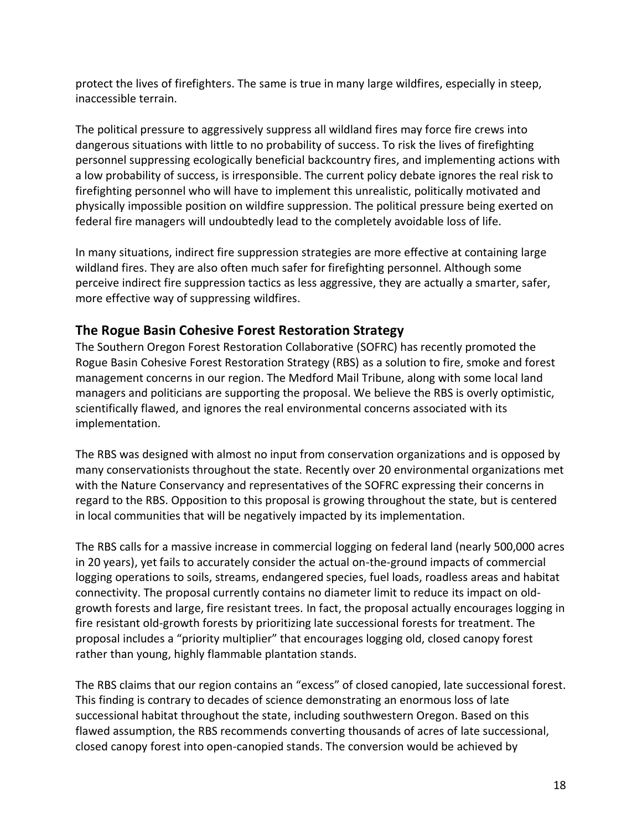protect the lives of firefighters. The same is true in many large wildfires, especially in steep, inaccessible terrain.

The political pressure to aggressively suppress all wildland fires may force fire crews into dangerous situations with little to no probability of success. To risk the lives of firefighting personnel suppressing ecologically beneficial backcountry fires, and implementing actions with a low probability of success, is irresponsible. The current policy debate ignores the real risk to firefighting personnel who will have to implement this unrealistic, politically motivated and physically impossible position on wildfire suppression. The political pressure being exerted on federal fire managers will undoubtedly lead to the completely avoidable loss of life.

In many situations, indirect fire suppression strategies are more effective at containing large wildland fires. They are also often much safer for firefighting personnel. Although some perceive indirect fire suppression tactics as less aggressive, they are actually a smarter, safer, more effective way of suppressing wildfires.

#### **The Rogue Basin Cohesive Forest Restoration Strategy**

The Southern Oregon Forest Restoration Collaborative (SOFRC) has recently promoted the Rogue Basin Cohesive Forest Restoration Strategy (RBS) as a solution to fire, smoke and forest management concerns in our region. The Medford Mail Tribune, along with some local land managers and politicians are supporting the proposal. We believe the RBS is overly optimistic, scientifically flawed, and ignores the real environmental concerns associated with its implementation.

The RBS was designed with almost no input from conservation organizations and is opposed by many conservationists throughout the state. Recently over 20 environmental organizations met with the Nature Conservancy and representatives of the SOFRC expressing their concerns in regard to the RBS. Opposition to this proposal is growing throughout the state, but is centered in local communities that will be negatively impacted by its implementation.

The RBS calls for a massive increase in commercial logging on federal land (nearly 500,000 acres in 20 years), yet fails to accurately consider the actual on-the-ground impacts of commercial logging operations to soils, streams, endangered species, fuel loads, roadless areas and habitat connectivity. The proposal currently contains no diameter limit to reduce its impact on oldgrowth forests and large, fire resistant trees. In fact, the proposal actually encourages logging in fire resistant old-growth forests by prioritizing late successional forests for treatment. The proposal includes a "priority multiplier" that encourages logging old, closed canopy forest rather than young, highly flammable plantation stands.

The RBS claims that our region contains an "excess" of closed canopied, late successional forest. This finding is contrary to decades of science demonstrating an enormous loss of late successional habitat throughout the state, including southwestern Oregon. Based on this flawed assumption, the RBS recommends converting thousands of acres of late successional, closed canopy forest into open-canopied stands. The conversion would be achieved by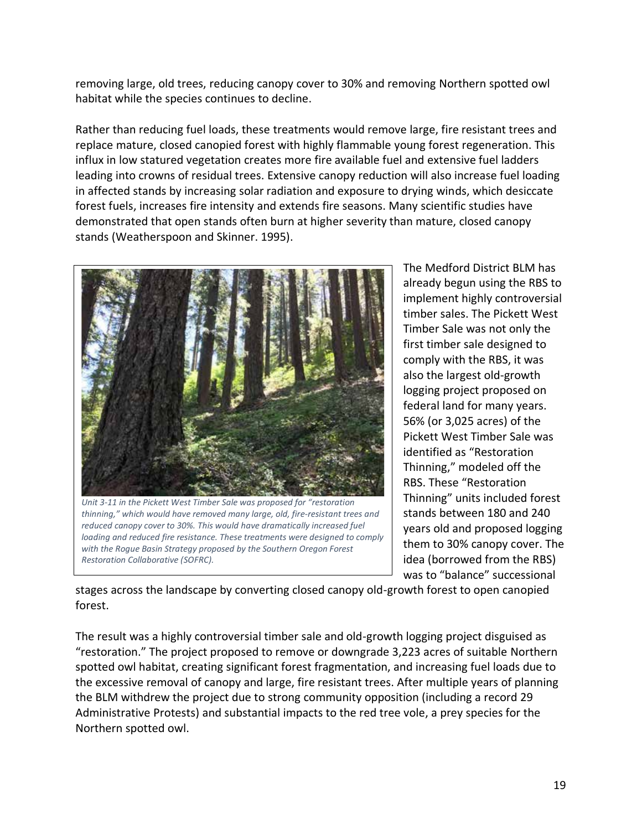removing large, old trees, reducing canopy cover to 30% and removing Northern spotted owl habitat while the species continues to decline.

Rather than reducing fuel loads, these treatments would remove large, fire resistant trees and replace mature, closed canopied forest with highly flammable young forest regeneration. This influx in low statured vegetation creates more fire available fuel and extensive fuel ladders leading into crowns of residual trees. Extensive canopy reduction will also increase fuel loading in affected stands by increasing solar radiation and exposure to drying winds, which desiccate forest fuels, increases fire intensity and extends fire seasons. Many scientific studies have demonstrated that open stands often burn at higher severity than mature, closed canopy stands (Weatherspoon and Skinner. 1995).



*Unit 3-11 in the Pickett West Timber Sale was proposed for "restoration thinning," which would have removed many large, old, fire-resistant trees and reduced canopy cover to 30%. This would have dramatically increased fuel loading and reduced fire resistance. These treatments were designed to comply with the Rogue Basin Strategy proposed by the Southern Oregon Forest Restoration Collaborative (SOFRC).*

The Medford District BLM has already begun using the RBS to implement highly controversial timber sales. The Pickett West Timber Sale was not only the first timber sale designed to comply with the RBS, it was also the largest old-growth logging project proposed on federal land for many years. 56% (or 3,025 acres) of the Pickett West Timber Sale was identified as "Restoration Thinning," modeled off the RBS. These "Restoration Thinning" units included forest stands between 180 and 240 years old and proposed logging them to 30% canopy cover. The idea (borrowed from the RBS) was to "balance" successional

stages across the landscape by converting closed canopy old-growth forest to open canopied forest.

The result was a highly controversial timber sale and old-growth logging project disguised as "restoration." The project proposed to remove or downgrade 3,223 acres of suitable Northern spotted owl habitat, creating significant forest fragmentation, and increasing fuel loads due to the excessive removal of canopy and large, fire resistant trees. After multiple years of planning the BLM withdrew the project due to strong community opposition (including a record 29 Administrative Protests) and substantial impacts to the red tree vole, a prey species for the Northern spotted owl.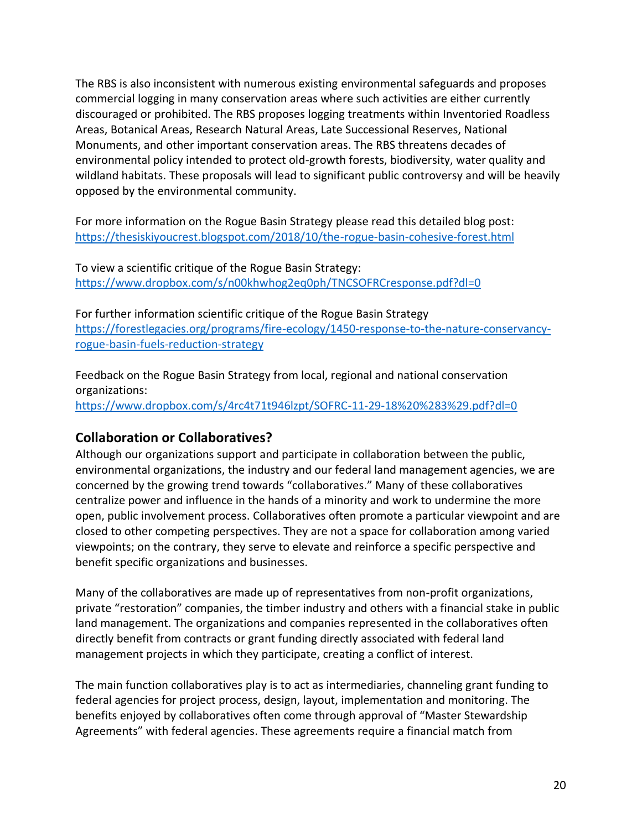The RBS is also inconsistent with numerous existing environmental safeguards and proposes commercial logging in many conservation areas where such activities are either currently discouraged or prohibited. The RBS proposes logging treatments within Inventoried Roadless Areas, Botanical Areas, Research Natural Areas, Late Successional Reserves, National Monuments, and other important conservation areas. The RBS threatens decades of environmental policy intended to protect old-growth forests, biodiversity, water quality and wildland habitats. These proposals will lead to significant public controversy and will be heavily opposed by the environmental community.

For more information on the Rogue Basin Strategy please read this detailed blog post: <https://thesiskiyoucrest.blogspot.com/2018/10/the-rogue-basin-cohesive-forest.html>

To view a scientific critique of the Rogue Basin Strategy: <https://www.dropbox.com/s/n00khwhog2eq0ph/TNCSOFRCresponse.pdf?dl=0>

For further information scientific critique of the Rogue Basin Strategy [https://forestlegacies.org/programs/fire-ecology/1450-response-to-the-nature-conservancy](https://forestlegacies.org/programs/fire-ecology/1450-response-to-the-nature-conservancy-rogue-basin-fuels-reduction-strategy)[rogue-basin-fuels-reduction-strategy](https://forestlegacies.org/programs/fire-ecology/1450-response-to-the-nature-conservancy-rogue-basin-fuels-reduction-strategy)

Feedback on the Rogue Basin Strategy from local, regional and national conservation organizations: <https://www.dropbox.com/s/4rc4t71t946lzpt/SOFRC-11-29-18%20%283%29.pdf?dl=0>

### **Collaboration or Collaboratives?**

Although our organizations support and participate in collaboration between the public, environmental organizations, the industry and our federal land management agencies, we are concerned by the growing trend towards "collaboratives." Many of these collaboratives centralize power and influence in the hands of a minority and work to undermine the more open, public involvement process. Collaboratives often promote a particular viewpoint and are closed to other competing perspectives. They are not a space for collaboration among varied viewpoints; on the contrary, they serve to elevate and reinforce a specific perspective and benefit specific organizations and businesses.

Many of the collaboratives are made up of representatives from non-profit organizations, private "restoration" companies, the timber industry and others with a financial stake in public land management. The organizations and companies represented in the collaboratives often directly benefit from contracts or grant funding directly associated with federal land management projects in which they participate, creating a conflict of interest.

The main function collaboratives play is to act as intermediaries, channeling grant funding to federal agencies for project process, design, layout, implementation and monitoring. The benefits enjoyed by collaboratives often come through approval of "Master Stewardship Agreements" with federal agencies. These agreements require a financial match from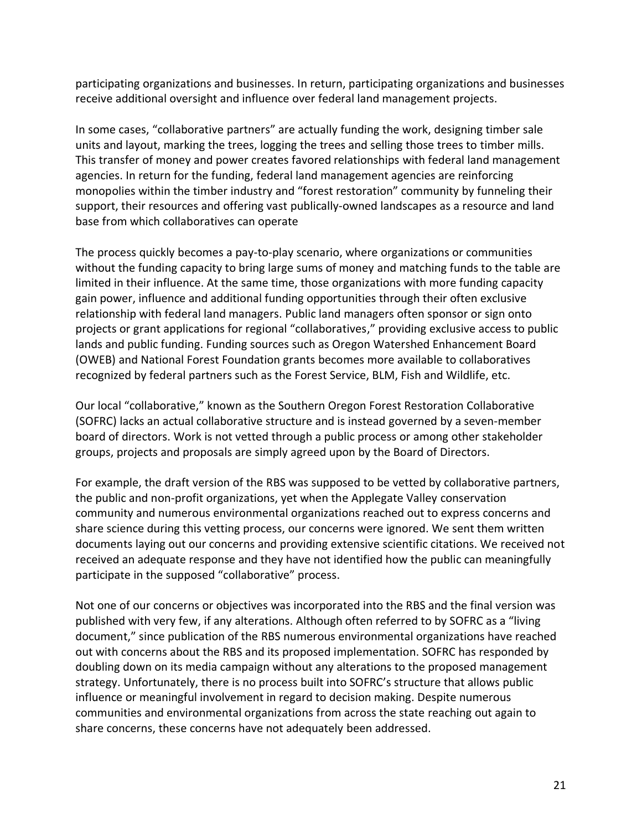participating organizations and businesses. In return, participating organizations and businesses receive additional oversight and influence over federal land management projects.

In some cases, "collaborative partners" are actually funding the work, designing timber sale units and layout, marking the trees, logging the trees and selling those trees to timber mills. This transfer of money and power creates favored relationships with federal land management agencies. In return for the funding, federal land management agencies are reinforcing monopolies within the timber industry and "forest restoration" community by funneling their support, their resources and offering vast publically-owned landscapes as a resource and land base from which collaboratives can operate

The process quickly becomes a pay-to-play scenario, where organizations or communities without the funding capacity to bring large sums of money and matching funds to the table are limited in their influence. At the same time, those organizations with more funding capacity gain power, influence and additional funding opportunities through their often exclusive relationship with federal land managers. Public land managers often sponsor or sign onto projects or grant applications for regional "collaboratives," providing exclusive access to public lands and public funding. Funding sources such as Oregon Watershed Enhancement Board (OWEB) and National Forest Foundation grants becomes more available to collaboratives recognized by federal partners such as the Forest Service, BLM, Fish and Wildlife, etc.

Our local "collaborative," known as the Southern Oregon Forest Restoration Collaborative (SOFRC) lacks an actual collaborative structure and is instead governed by a seven-member board of directors. Work is not vetted through a public process or among other stakeholder groups, projects and proposals are simply agreed upon by the Board of Directors.

For example, the draft version of the RBS was supposed to be vetted by collaborative partners, the public and non-profit organizations, yet when the Applegate Valley conservation community and numerous environmental organizations reached out to express concerns and share science during this vetting process, our concerns were ignored. We sent them written documents laying out our concerns and providing extensive scientific citations. We received not received an adequate response and they have not identified how the public can meaningfully participate in the supposed "collaborative" process.

Not one of our concerns or objectives was incorporated into the RBS and the final version was published with very few, if any alterations. Although often referred to by SOFRC as a "living document," since publication of the RBS numerous environmental organizations have reached out with concerns about the RBS and its proposed implementation. SOFRC has responded by doubling down on its media campaign without any alterations to the proposed management strategy. Unfortunately, there is no process built into SOFRC's structure that allows public influence or meaningful involvement in regard to decision making. Despite numerous communities and environmental organizations from across the state reaching out again to share concerns, these concerns have not adequately been addressed.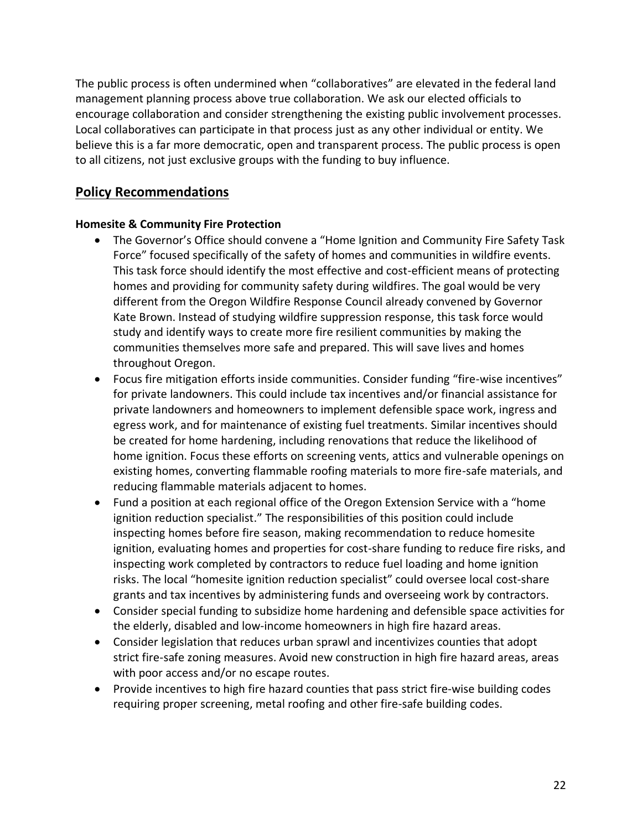The public process is often undermined when "collaboratives" are elevated in the federal land management planning process above true collaboration. We ask our elected officials to encourage collaboration and consider strengthening the existing public involvement processes. Local collaboratives can participate in that process just as any other individual or entity. We believe this is a far more democratic, open and transparent process. The public process is open to all citizens, not just exclusive groups with the funding to buy influence.

### **Policy Recommendations**

#### **Homesite & Community Fire Protection**

- The Governor's Office should convene a "Home Ignition and Community Fire Safety Task Force" focused specifically of the safety of homes and communities in wildfire events. This task force should identify the most effective and cost-efficient means of protecting homes and providing for community safety during wildfires. The goal would be very different from the Oregon Wildfire Response Council already convened by Governor Kate Brown. Instead of studying wildfire suppression response, this task force would study and identify ways to create more fire resilient communities by making the communities themselves more safe and prepared. This will save lives and homes throughout Oregon.
- Focus fire mitigation efforts inside communities. Consider funding "fire-wise incentives" for private landowners. This could include tax incentives and/or financial assistance for private landowners and homeowners to implement defensible space work, ingress and egress work, and for maintenance of existing fuel treatments. Similar incentives should be created for home hardening, including renovations that reduce the likelihood of home ignition. Focus these efforts on screening vents, attics and vulnerable openings on existing homes, converting flammable roofing materials to more fire-safe materials, and reducing flammable materials adjacent to homes.
- Fund a position at each regional office of the Oregon Extension Service with a "home ignition reduction specialist." The responsibilities of this position could include inspecting homes before fire season, making recommendation to reduce homesite ignition, evaluating homes and properties for cost-share funding to reduce fire risks, and inspecting work completed by contractors to reduce fuel loading and home ignition risks. The local "homesite ignition reduction specialist" could oversee local cost-share grants and tax incentives by administering funds and overseeing work by contractors.
- Consider special funding to subsidize home hardening and defensible space activities for the elderly, disabled and low-income homeowners in high fire hazard areas.
- Consider legislation that reduces urban sprawl and incentivizes counties that adopt strict fire-safe zoning measures. Avoid new construction in high fire hazard areas, areas with poor access and/or no escape routes.
- Provide incentives to high fire hazard counties that pass strict fire-wise building codes requiring proper screening, metal roofing and other fire-safe building codes.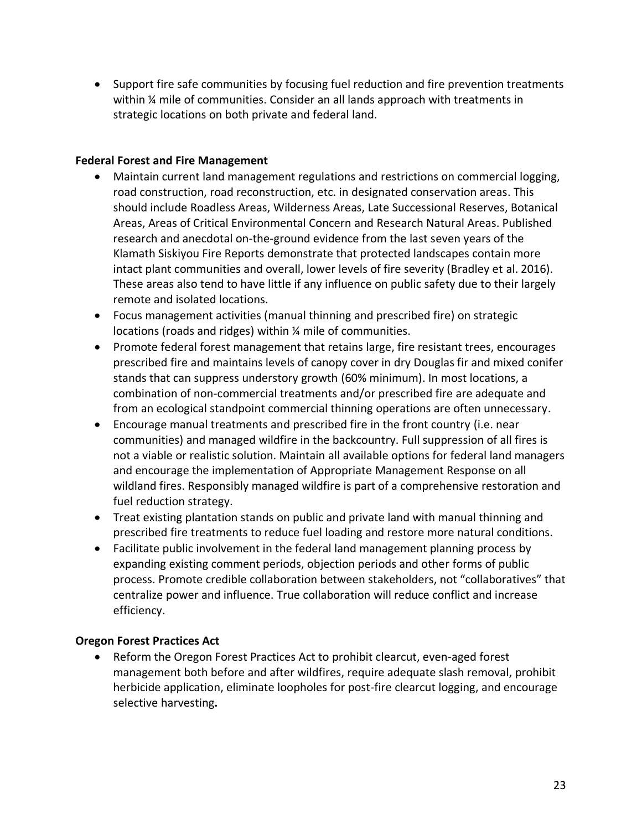• Support fire safe communities by focusing fuel reduction and fire prevention treatments within ¼ mile of communities. Consider an all lands approach with treatments in strategic locations on both private and federal land.

#### **Federal Forest and Fire Management**

- Maintain current land management regulations and restrictions on commercial logging, road construction, road reconstruction, etc. in designated conservation areas. This should include Roadless Areas, Wilderness Areas, Late Successional Reserves, Botanical Areas, Areas of Critical Environmental Concern and Research Natural Areas. Published research and anecdotal on-the-ground evidence from the last seven years of the Klamath Siskiyou Fire Reports demonstrate that protected landscapes contain more intact plant communities and overall, lower levels of fire severity (Bradley et al. 2016). These areas also tend to have little if any influence on public safety due to their largely remote and isolated locations.
- Focus management activities (manual thinning and prescribed fire) on strategic locations (roads and ridges) within ¼ mile of communities.
- Promote federal forest management that retains large, fire resistant trees, encourages prescribed fire and maintains levels of canopy cover in dry Douglas fir and mixed conifer stands that can suppress understory growth (60% minimum). In most locations, a combination of non-commercial treatments and/or prescribed fire are adequate and from an ecological standpoint commercial thinning operations are often unnecessary.
- Encourage manual treatments and prescribed fire in the front country (i.e. near communities) and managed wildfire in the backcountry. Full suppression of all fires is not a viable or realistic solution. Maintain all available options for federal land managers and encourage the implementation of Appropriate Management Response on all wildland fires. Responsibly managed wildfire is part of a comprehensive restoration and fuel reduction strategy.
- Treat existing plantation stands on public and private land with manual thinning and prescribed fire treatments to reduce fuel loading and restore more natural conditions.
- Facilitate public involvement in the federal land management planning process by expanding existing comment periods, objection periods and other forms of public process. Promote credible collaboration between stakeholders, not "collaboratives" that centralize power and influence. True collaboration will reduce conflict and increase efficiency.

#### **Oregon Forest Practices Act**

• Reform the Oregon Forest Practices Act to prohibit clearcut, even-aged forest management both before and after wildfires, require adequate slash removal, prohibit herbicide application, eliminate loopholes for post-fire clearcut logging, and encourage selective harvesting**.**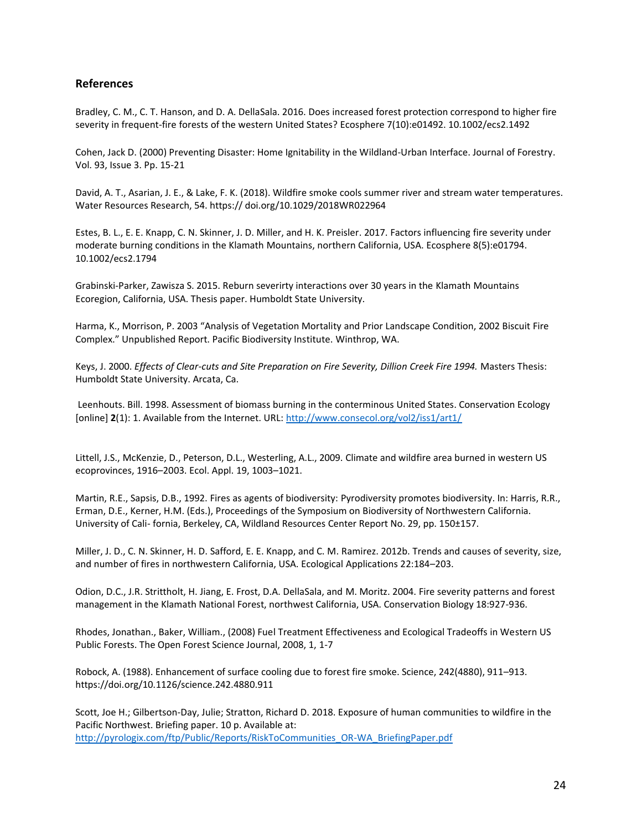#### **References**

Bradley, C. M., C. T. Hanson, and D. A. DellaSala. 2016. Does increased forest protection correspond to higher fire severity in frequent-fire forests of the western United States? Ecosphere 7(10):e01492. 10.1002/ecs2.1492

Cohen, Jack D. (2000) Preventing Disaster: Home Ignitability in the Wildland-Urban Interface. Journal of Forestry. Vol. 93, Issue 3. Pp. 15-21

David, A. T., Asarian, J. E., & Lake, F. K. (2018). Wildfire smoke cools summer river and stream water temperatures. Water Resources Research, 54. https:// doi.org/10.1029/2018WR022964

Estes, B. L., E. E. Knapp, C. N. Skinner, J. D. Miller, and H. K. Preisler. 2017. Factors influencing fire severity under moderate burning conditions in the Klamath Mountains, northern California, USA. Ecosphere 8(5):e01794. 10.1002/ecs2.1794

Grabinski-Parker, Zawisza S. 2015. Reburn severirty interactions over 30 years in the Klamath Mountains Ecoregion, California, USA. Thesis paper. Humboldt State University.

Harma, K., Morrison, P. 2003 "Analysis of Vegetation Mortality and Prior Landscape Condition, 2002 Biscuit Fire Complex." Unpublished Report. Pacific Biodiversity Institute. Winthrop, WA.

Keys, J. 2000. *Effects of Clear-cuts and Site Preparation on Fire Severity, Dillion Creek Fire 1994*. Masters Thesis: Humboldt State University. Arcata, Ca.

Leenhouts. Bill. 1998. Assessment of biomass burning in the conterminous United States. Conservation Ecology [online] **2**(1): 1. Available from the Internet. URL:<http://www.consecol.org/vol2/iss1/art1/>

Littell, J.S., McKenzie, D., Peterson, D.L., Westerling, A.L., 2009. Climate and wildfire area burned in western US ecoprovinces, 1916–2003. Ecol. Appl. 19, 1003–1021.

Martin, R.E., Sapsis, D.B., 1992. Fires as agents of biodiversity: Pyrodiversity promotes biodiversity. In: Harris, R.R., Erman, D.E., Kerner, H.M. (Eds.), Proceedings of the Symposium on Biodiversity of Northwestern California. University of Cali- fornia, Berkeley, CA, Wildland Resources Center Report No. 29, pp. 150±157.

Miller, J. D., C. N. Skinner, H. D. Safford, E. E. Knapp, and C. M. Ramirez. 2012b. Trends and causes of severity, size, and number of fires in northwestern California, USA. Ecological Applications 22:184–203.

Odion, D.C., J.R. Strittholt, H. Jiang, E. Frost, D.A. DellaSala, and M. Moritz. 2004. Fire severity patterns and forest management in the Klamath National Forest, northwest California, USA. Conservation Biology 18:927-936.

Rhodes, Jonathan., Baker, William., (2008) Fuel Treatment Effectiveness and Ecological Tradeoffs in Western US Public Forests. The Open Forest Science Journal, 2008, 1, 1-7

Robock, A. (1988). Enhancement of surface cooling due to forest fire smoke. Science, 242(4880), 911–913. https://doi.org/10.1126/science.242.4880.911

Scott, Joe H.; Gilbertson-Day, Julie; Stratton, Richard D. 2018. Exposure of human communities to wildfire in the Pacific Northwest. Briefing paper. 10 p. Available at: [http://pyrologix.com/ftp/Public/Reports/RiskToCommunities\\_OR-WA\\_BriefingPaper.pdf](http://pyrologix.com/ftp/Public/Reports/RiskToCommunities_OR-WA_BriefingPaper.pdf)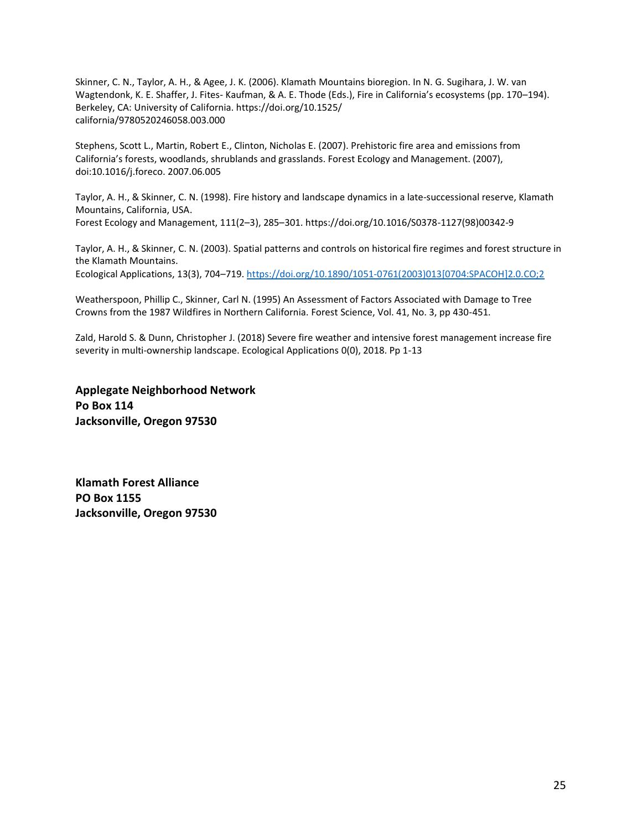Skinner, C. N., Taylor, A. H., & Agee, J. K. (2006). Klamath Mountains bioregion. In N. G. Sugihara, J. W. van Wagtendonk, K. E. Shaffer, J. Fites- Kaufman, & A. E. Thode (Eds.), Fire in California's ecosystems (pp. 170–194). Berkeley, CA: University of California. https://doi.org/10.1525/ california/9780520246058.003.000

Stephens, Scott L., Martin, Robert E., Clinton, Nicholas E. (2007). Prehistoric fire area and emissions from California's forests, woodlands, shrublands and grasslands. Forest Ecology and Management. (2007), doi:10.1016/j.foreco. 2007.06.005

Taylor, A. H., & Skinner, C. N. (1998). Fire history and landscape dynamics in a late-successional reserve, Klamath Mountains, California, USA.

Forest Ecology and Management, 111(2–3), 285–301. https://doi.org/10.1016/S0378-1127(98)00342-9

Taylor, A. H., & Skinner, C. N. (2003). Spatial patterns and controls on historical fire regimes and forest structure in the Klamath Mountains.

Ecological Applications, 13(3), 704–719[. https://doi.org/10.1890/1051-0761\(2003\)013\[0704:SPACOH\]2.0.CO;2](https://doi.org/10.1890/1051-0761(2003)013%5b0704:SPACOH%5d2.0.CO;2)

Weatherspoon, Phillip C., Skinner, Carl N. (1995) An Assessment of Factors Associated with Damage to Tree Crowns from the 1987 Wildfires in Northern California. Forest Science, Vol. 41, No. 3, pp 430-451.

Zald, Harold S. & Dunn, Christopher J. (2018) Severe fire weather and intensive forest management increase fire severity in multi-ownership landscape. Ecological Applications 0(0), 2018. Pp 1-13

**Applegate Neighborhood Network Po Box 114 Jacksonville, Oregon 97530** 

**Klamath Forest Alliance PO Box 1155 Jacksonville, Oregon 97530**